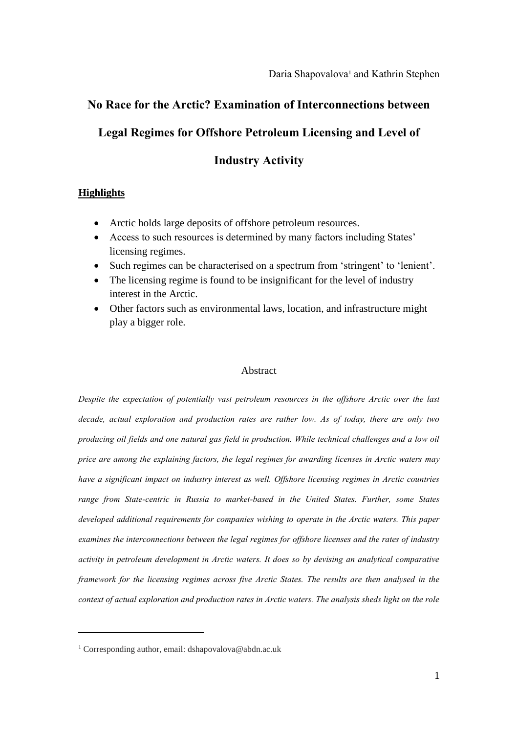# **No Race for the Arctic? Examination of Interconnections between**

# **Legal Regimes for Offshore Petroleum Licensing and Level of**

## **Industry Activity**

## **Highlights**

- Arctic holds large deposits of offshore petroleum resources.
- Access to such resources is determined by many factors including States' licensing regimes.
- Such regimes can be characterised on a spectrum from 'stringent' to 'lenient'.
- The licensing regime is found to be insignificant for the level of industry interest in the Arctic.
- Other factors such as environmental laws, location, and infrastructure might play a bigger role.

#### Abstract

*Despite the expectation of potentially vast petroleum resources in the offshore Arctic over the last decade, actual exploration and production rates are rather low. As of today, there are only two producing oil fields and one natural gas field in production. While technical challenges and a low oil price are among the explaining factors, the legal regimes for awarding licenses in Arctic waters may have a significant impact on industry interest as well. Offshore licensing regimes in Arctic countries range from State-centric in Russia to market-based in the United States. Further, some States developed additional requirements for companies wishing to operate in the Arctic waters. This paper examines the interconnections between the legal regimes for offshore licenses and the rates of industry activity in petroleum development in Arctic waters. It does so by devising an analytical comparative framework for the licensing regimes across five Arctic States. The results are then analysed in the context of actual exploration and production rates in Arctic waters. The analysis sheds light on the role* 

 $\overline{a}$ 

<sup>&</sup>lt;sup>1</sup> Corresponding author, email: dshapovalova@abdn.ac.uk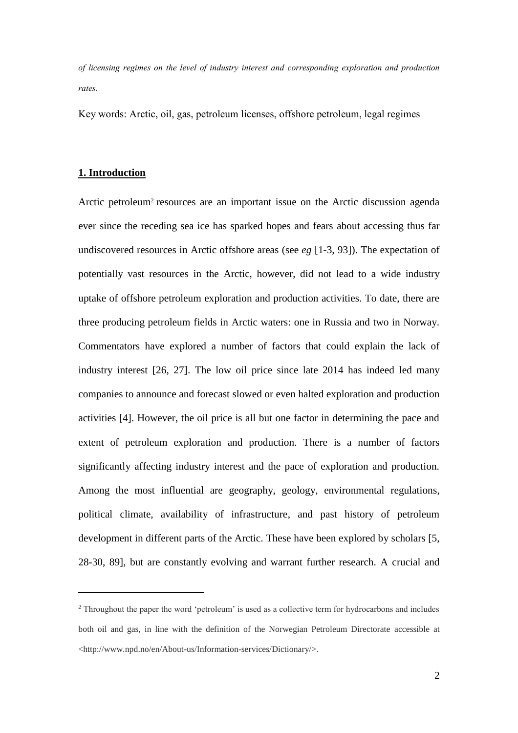*of licensing regimes on the level of industry interest and corresponding exploration and production rates.*

Key words: Arctic, oil, gas, petroleum licenses, offshore petroleum, legal regimes

### **1. Introduction**

 $\overline{a}$ 

Arctic petroleum<sup>2</sup> resources are an important issue on the Arctic discussion agenda ever since the receding sea ice has sparked hopes and fears about accessing thus far undiscovered resources in Arctic offshore areas (see *eg* [1-3, 93]). The expectation of potentially vast resources in the Arctic, however, did not lead to a wide industry uptake of offshore petroleum exploration and production activities. To date, there are three producing petroleum fields in Arctic waters: one in Russia and two in Norway. Commentators have explored a number of factors that could explain the lack of industry interest [26, 27]. The low oil price since late 2014 has indeed led many companies to announce and forecast slowed or even halted exploration and production activities [4]. However, the oil price is all but one factor in determining the pace and extent of petroleum exploration and production. There is a number of factors significantly affecting industry interest and the pace of exploration and production. Among the most influential are geography, geology, environmental regulations, political climate, availability of infrastructure, and past history of petroleum development in different parts of the Arctic. These have been explored by scholars [5, 28-30, 89], but are constantly evolving and warrant further research. A crucial and

<sup>&</sup>lt;sup>2</sup> Throughout the paper the word 'petroleum' is used as a collective term for hydrocarbons and includes both oil and gas, in line with the definition of the Norwegian Petroleum Directorate accessible at <http://www.npd.no/en/About-us/Information-services/Dictionary/>.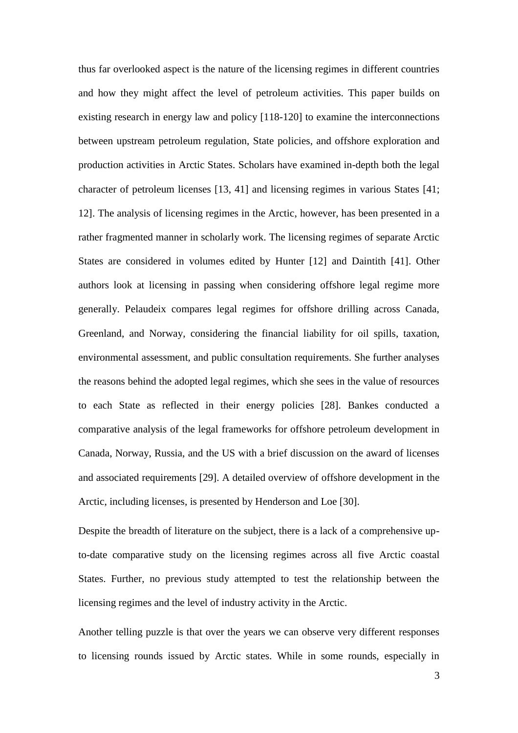thus far overlooked aspect is the nature of the licensing regimes in different countries and how they might affect the level of petroleum activities. This paper builds on existing research in energy law and policy [118-120] to examine the interconnections between upstream petroleum regulation, State policies, and offshore exploration and production activities in Arctic States. Scholars have examined in-depth both the legal character of petroleum licenses [13, 41] and licensing regimes in various States [41; 12]. The analysis of licensing regimes in the Arctic, however, has been presented in a rather fragmented manner in scholarly work. The licensing regimes of separate Arctic States are considered in volumes edited by Hunter [12] and Daintith [41]. Other authors look at licensing in passing when considering offshore legal regime more generally. Pelaudeix compares legal regimes for offshore drilling across Canada, Greenland, and Norway, considering the financial liability for oil spills, taxation, environmental assessment, and public consultation requirements. She further analyses the reasons behind the adopted legal regimes, which she sees in the value of resources to each State as reflected in their energy policies [28]. Bankes conducted a comparative analysis of the legal frameworks for offshore petroleum development in Canada, Norway, Russia, and the US with a brief discussion on the award of licenses and associated requirements [29]. A detailed overview of offshore development in the Arctic, including licenses, is presented by Henderson and Loe [30].

Despite the breadth of literature on the subject, there is a lack of a comprehensive upto-date comparative study on the licensing regimes across all five Arctic coastal States. Further, no previous study attempted to test the relationship between the licensing regimes and the level of industry activity in the Arctic.

Another telling puzzle is that over the years we can observe very different responses to licensing rounds issued by Arctic states. While in some rounds, especially in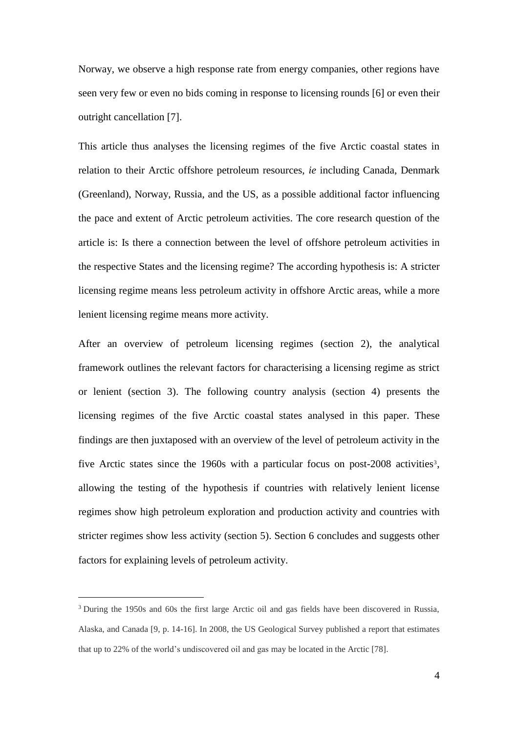Norway, we observe a high response rate from energy companies, other regions have seen very few or even no bids coming in response to licensing rounds [6] or even their outright cancellation [7].

This article thus analyses the licensing regimes of the five Arctic coastal states in relation to their Arctic offshore petroleum resources, *ie* including Canada, Denmark (Greenland), Norway, Russia, and the US, as a possible additional factor influencing the pace and extent of Arctic petroleum activities. The core research question of the article is: Is there a connection between the level of offshore petroleum activities in the respective States and the licensing regime? The according hypothesis is: A stricter licensing regime means less petroleum activity in offshore Arctic areas, while a more lenient licensing regime means more activity.

After an overview of petroleum licensing regimes (section 2), the analytical framework outlines the relevant factors for characterising a licensing regime as strict or lenient (section 3). The following country analysis (section 4) presents the licensing regimes of the five Arctic coastal states analysed in this paper. These findings are then juxtaposed with an overview of the level of petroleum activity in the five Arctic states since the 1960s with a particular focus on post-2008 activities<sup>3</sup>, allowing the testing of the hypothesis if countries with relatively lenient license regimes show high petroleum exploration and production activity and countries with stricter regimes show less activity (section 5). Section 6 concludes and suggests other factors for explaining levels of petroleum activity.

 $\overline{a}$ 

<sup>&</sup>lt;sup>3</sup> During the 1950s and 60s the first large Arctic oil and gas fields have been discovered in Russia, Alaska, and Canada [9, p. 14-16]. In 2008, the US Geological Survey published a report that estimates that up to 22% of the world's undiscovered oil and gas may be located in the Arctic [78].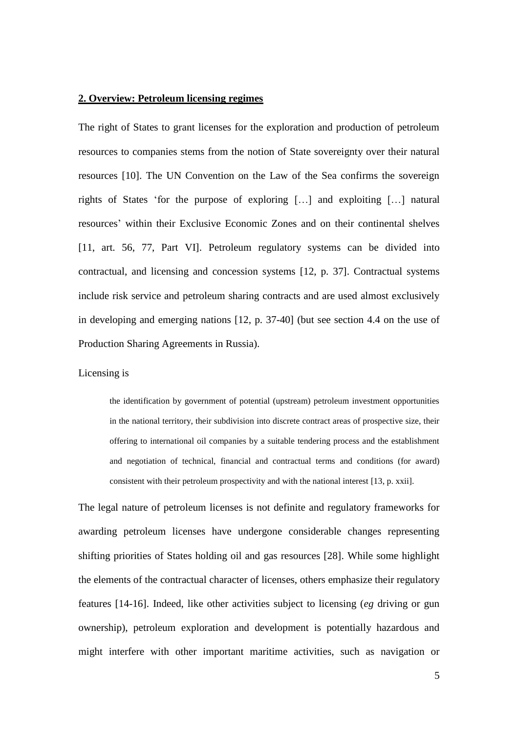### **2. Overview: Petroleum licensing regimes**

The right of States to grant licenses for the exploration and production of petroleum resources to companies stems from the notion of State sovereignty over their natural resources [10]. The UN Convention on the Law of the Sea confirms the sovereign rights of States 'for the purpose of exploring […] and exploiting […] natural resources' within their Exclusive Economic Zones and on their continental shelves [11, art. 56, 77, Part VI]. Petroleum regulatory systems can be divided into contractual, and licensing and concession systems [12, p. 37]. Contractual systems include risk service and petroleum sharing contracts and are used almost exclusively in developing and emerging nations [12, p. 37-40] (but see section 4.4 on the use of Production Sharing Agreements in Russia).

#### Licensing is

the identification by government of potential (upstream) petroleum investment opportunities in the national territory, their subdivision into discrete contract areas of prospective size, their offering to international oil companies by a suitable tendering process and the establishment and negotiation of technical, financial and contractual terms and conditions (for award) consistent with their petroleum prospectivity and with the national interest [13, p. xxii].

The legal nature of petroleum licenses is not definite and regulatory frameworks for awarding petroleum licenses have undergone considerable changes representing shifting priorities of States holding oil and gas resources [28]. While some highlight the elements of the contractual character of licenses, others emphasize their regulatory features [14-16]. Indeed, like other activities subject to licensing (*eg* driving or gun ownership), petroleum exploration and development is potentially hazardous and might interfere with other important maritime activities, such as navigation or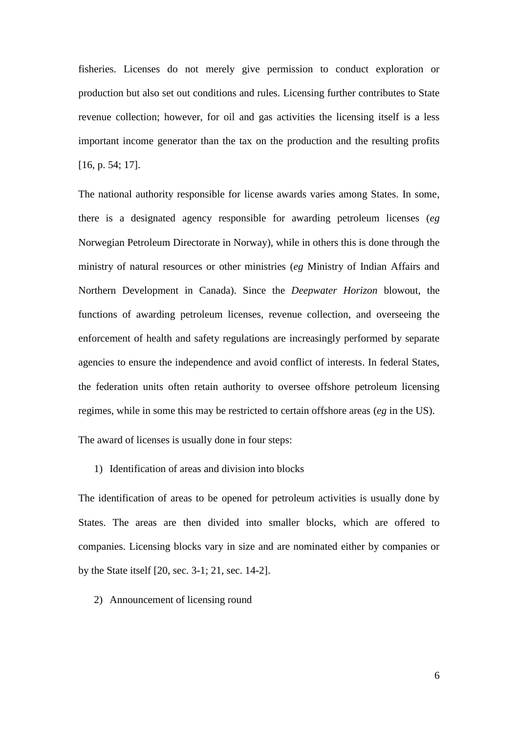fisheries. Licenses do not merely give permission to conduct exploration or production but also set out conditions and rules. Licensing further contributes to State revenue collection; however, for oil and gas activities the licensing itself is a less important income generator than the tax on the production and the resulting profits [16, p. 54; 17].

The national authority responsible for license awards varies among States. In some, there is a designated agency responsible for awarding petroleum licenses (*eg* Norwegian Petroleum Directorate in Norway), while in others this is done through the ministry of natural resources or other ministries (*eg* Ministry of Indian Affairs and Northern Development in Canada). Since the *Deepwater Horizon* blowout, the functions of awarding petroleum licenses, revenue collection, and overseeing the enforcement of health and safety regulations are increasingly performed by separate agencies to ensure the independence and avoid conflict of interests. In federal States, the federation units often retain authority to oversee offshore petroleum licensing regimes, while in some this may be restricted to certain offshore areas (*eg* in the US).

The award of licenses is usually done in four steps:

#### 1) Identification of areas and division into blocks

The identification of areas to be opened for petroleum activities is usually done by States. The areas are then divided into smaller blocks, which are offered to companies. Licensing blocks vary in size and are nominated either by companies or by the State itself [20, sec. 3-1; 21, sec. 14-2].

#### 2) Announcement of licensing round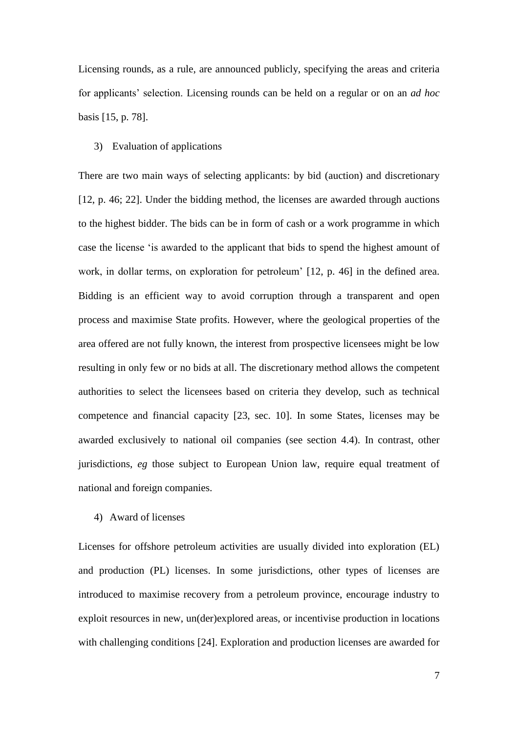Licensing rounds, as a rule, are announced publicly, specifying the areas and criteria for applicants' selection. Licensing rounds can be held on a regular or on an *ad hoc* basis [15, p. 78].

#### 3) Evaluation of applications

There are two main ways of selecting applicants: by bid (auction) and discretionary [12, p. 46; 22]. Under the bidding method, the licenses are awarded through auctions to the highest bidder. The bids can be in form of cash or a work programme in which case the license 'is awarded to the applicant that bids to spend the highest amount of work, in dollar terms, on exploration for petroleum' [12, p. 46] in the defined area. Bidding is an efficient way to avoid corruption through a transparent and open process and maximise State profits. However, where the geological properties of the area offered are not fully known, the interest from prospective licensees might be low resulting in only few or no bids at all. The discretionary method allows the competent authorities to select the licensees based on criteria they develop, such as technical competence and financial capacity [23, sec. 10]. In some States, licenses may be awarded exclusively to national oil companies (see section 4.4). In contrast, other jurisdictions, *eg* those subject to European Union law, require equal treatment of national and foreign companies.

#### 4) Award of licenses

Licenses for offshore petroleum activities are usually divided into exploration (EL) and production (PL) licenses. In some jurisdictions, other types of licenses are introduced to maximise recovery from a petroleum province, encourage industry to exploit resources in new, un(der)explored areas, or incentivise production in locations with challenging conditions [24]. Exploration and production licenses are awarded for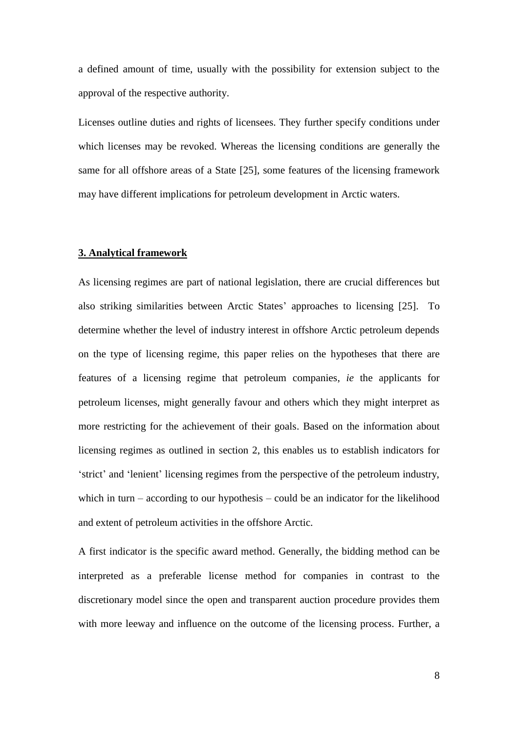a defined amount of time, usually with the possibility for extension subject to the approval of the respective authority.

Licenses outline duties and rights of licensees. They further specify conditions under which licenses may be revoked. Whereas the licensing conditions are generally the same for all offshore areas of a State [25], some features of the licensing framework may have different implications for petroleum development in Arctic waters.

### **3. Analytical framework**

As licensing regimes are part of national legislation, there are crucial differences but also striking similarities between Arctic States' approaches to licensing [25]. To determine whether the level of industry interest in offshore Arctic petroleum depends on the type of licensing regime, this paper relies on the hypotheses that there are features of a licensing regime that petroleum companies, *ie* the applicants for petroleum licenses, might generally favour and others which they might interpret as more restricting for the achievement of their goals. Based on the information about licensing regimes as outlined in section 2, this enables us to establish indicators for 'strict' and 'lenient' licensing regimes from the perspective of the petroleum industry, which in turn – according to our hypothesis – could be an indicator for the likelihood and extent of petroleum activities in the offshore Arctic.

A first indicator is the specific award method. Generally, the bidding method can be interpreted as a preferable license method for companies in contrast to the discretionary model since the open and transparent auction procedure provides them with more leeway and influence on the outcome of the licensing process. Further, a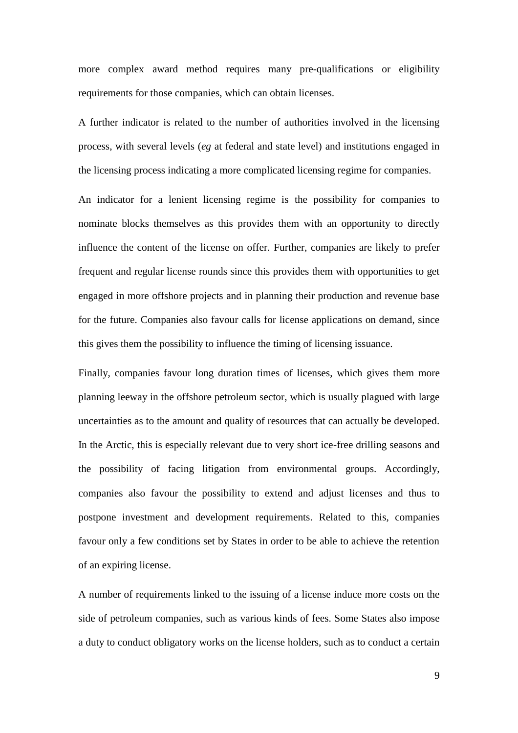more complex award method requires many pre-qualifications or eligibility requirements for those companies, which can obtain licenses.

A further indicator is related to the number of authorities involved in the licensing process, with several levels (*eg* at federal and state level) and institutions engaged in the licensing process indicating a more complicated licensing regime for companies.

An indicator for a lenient licensing regime is the possibility for companies to nominate blocks themselves as this provides them with an opportunity to directly influence the content of the license on offer. Further, companies are likely to prefer frequent and regular license rounds since this provides them with opportunities to get engaged in more offshore projects and in planning their production and revenue base for the future. Companies also favour calls for license applications on demand, since this gives them the possibility to influence the timing of licensing issuance.

Finally, companies favour long duration times of licenses, which gives them more planning leeway in the offshore petroleum sector, which is usually plagued with large uncertainties as to the amount and quality of resources that can actually be developed. In the Arctic, this is especially relevant due to very short ice-free drilling seasons and the possibility of facing litigation from environmental groups. Accordingly, companies also favour the possibility to extend and adjust licenses and thus to postpone investment and development requirements. Related to this, companies favour only a few conditions set by States in order to be able to achieve the retention of an expiring license.

A number of requirements linked to the issuing of a license induce more costs on the side of petroleum companies, such as various kinds of fees. Some States also impose a duty to conduct obligatory works on the license holders, such as to conduct a certain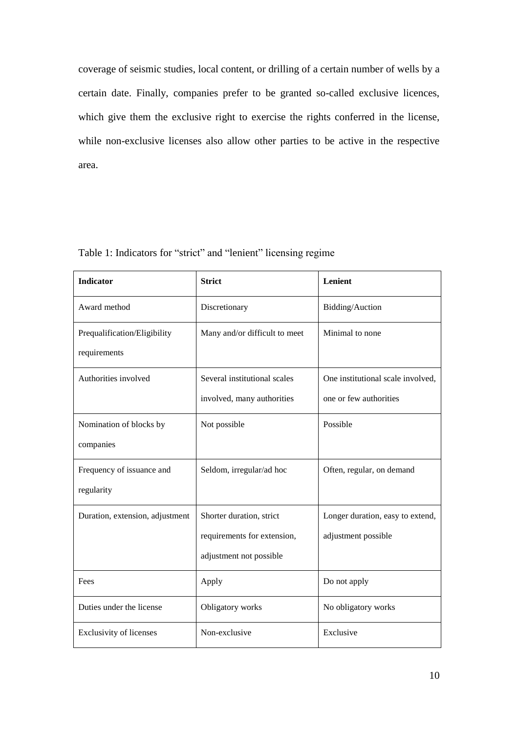coverage of seismic studies, local content, or drilling of a certain number of wells by a certain date. Finally, companies prefer to be granted so-called exclusive licences, which give them the exclusive right to exercise the rights conferred in the license, while non-exclusive licenses also allow other parties to be active in the respective area.

| <b>Indicator</b>                | <b>Strict</b>                 | Lenient                           |
|---------------------------------|-------------------------------|-----------------------------------|
| Award method                    | Discretionary                 | Bidding/Auction                   |
| Prequalification/Eligibility    | Many and/or difficult to meet | Minimal to none                   |
| requirements                    |                               |                                   |
| Authorities involved            | Several institutional scales  | One institutional scale involved, |
|                                 | involved, many authorities    | one or few authorities            |
| Nomination of blocks by         | Not possible                  | Possible                          |
| companies                       |                               |                                   |
| Frequency of issuance and       | Seldom, irregular/ad hoc      | Often, regular, on demand         |
| regularity                      |                               |                                   |
| Duration, extension, adjustment | Shorter duration, strict      | Longer duration, easy to extend,  |
|                                 | requirements for extension,   | adjustment possible               |
|                                 | adjustment not possible       |                                   |
| Fees                            | Apply                         | Do not apply                      |
| Duties under the license        | Obligatory works              | No obligatory works               |
| <b>Exclusivity of licenses</b>  | Non-exclusive                 | Exclusive                         |

## Table 1: Indicators for "strict" and "lenient" licensing regime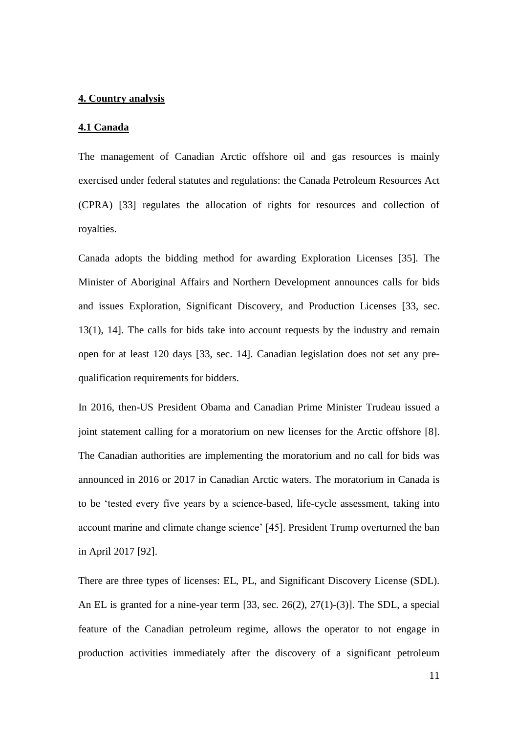### **4. Country analysis**

#### **4.1 Canada**

The management of Canadian Arctic offshore oil and gas resources is mainly exercised under federal statutes and regulations: the Canada Petroleum Resources Act (CPRA) [33] regulates the allocation of rights for resources and collection of royalties.

Canada adopts the bidding method for awarding Exploration Licenses [35]. The Minister of Aboriginal Affairs and Northern Development announces calls for bids and issues Exploration, Significant Discovery, and Production Licenses [33, sec. 13(1), 14]. The calls for bids take into account requests by the industry and remain open for at least 120 days [33, sec. 14]. Canadian legislation does not set any prequalification requirements for bidders.

In 2016, then-US President Obama and Canadian Prime Minister Trudeau issued a joint statement calling for a moratorium on new licenses for the Arctic offshore [8]. The Canadian authorities are implementing the moratorium and no call for bids was announced in 2016 or 2017 in Canadian Arctic waters. The moratorium in Canada is to be 'tested every five years by a science-based, life-cycle assessment, taking into account marine and climate change science' [45]. President Trump overturned the ban in April 2017 [92].

There are three types of licenses: EL, PL, and Significant Discovery License (SDL). An EL is granted for a nine-year term [33, sec. 26(2), 27(1)-(3)]. The SDL, a special feature of the Canadian petroleum regime, allows the operator to not engage in production activities immediately after the discovery of a significant petroleum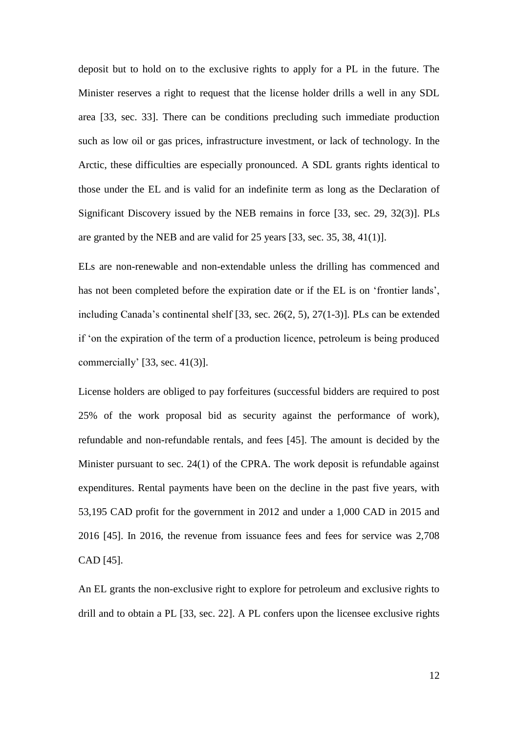deposit but to hold on to the exclusive rights to apply for a PL in the future. The Minister reserves a right to request that the license holder drills a well in any SDL area [33, sec. 33]. There can be conditions precluding such immediate production such as low oil or gas prices, infrastructure investment, or lack of technology. In the Arctic, these difficulties are especially pronounced. A SDL grants rights identical to those under the EL and is valid for an indefinite term as long as the Declaration of Significant Discovery issued by the NEB remains in force [33, sec. 29, 32(3)]. PLs are granted by the NEB and are valid for 25 years [33, sec. 35, 38, 41(1)].

ELs are non-renewable and non-extendable unless the drilling has commenced and has not been completed before the expiration date or if the EL is on 'frontier lands', including Canada's continental shelf [33, sec. 26(2, 5), 27(1-3)]. PLs can be extended if 'on the expiration of the term of a production licence, petroleum is being produced commercially' [33, sec. 41(3)].

License holders are obliged to pay forfeitures (successful bidders are required to post 25% of the work proposal bid as security against the performance of work), refundable and non-refundable rentals, and fees [45]. The amount is decided by the Minister pursuant to sec. 24(1) of the CPRA. The work deposit is refundable against expenditures. Rental payments have been on the decline in the past five years, with 53,195 CAD profit for the government in 2012 and under a 1,000 CAD in 2015 and 2016 [45]. In 2016, the revenue from issuance fees and fees for service was 2,708 CAD [45].

An EL grants the non-exclusive right to explore for petroleum and exclusive rights to drill and to obtain a PL [33, sec. 22]. A PL confers upon the licensee exclusive rights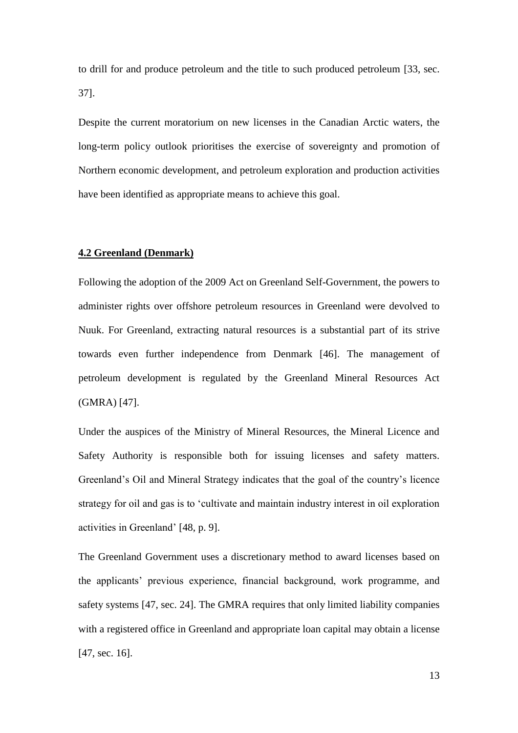to drill for and produce petroleum and the title to such produced petroleum [33, sec. 37].

Despite the current moratorium on new licenses in the Canadian Arctic waters, the long-term policy outlook prioritises the exercise of sovereignty and promotion of Northern economic development, and petroleum exploration and production activities have been identified as appropriate means to achieve this goal.

## **4.2 Greenland (Denmark)**

Following the adoption of the 2009 Act on Greenland Self-Government, the powers to administer rights over offshore petroleum resources in Greenland were devolved to Nuuk. For Greenland, extracting natural resources is a substantial part of its strive towards even further independence from Denmark [46]. The management of petroleum development is regulated by the Greenland Mineral Resources Act (GMRA) [47].

Under the auspices of the Ministry of Mineral Resources, the Mineral Licence and Safety Authority is responsible both for issuing licenses and safety matters. Greenland's Oil and Mineral Strategy indicates that the goal of the country's licence strategy for oil and gas is to 'cultivate and maintain industry interest in oil exploration activities in Greenland' [48, p. 9].

The Greenland Government uses a discretionary method to award licenses based on the applicants' previous experience, financial background, work programme, and safety systems [47, sec. 24]. The GMRA requires that only limited liability companies with a registered office in Greenland and appropriate loan capital may obtain a license [47, sec. 16].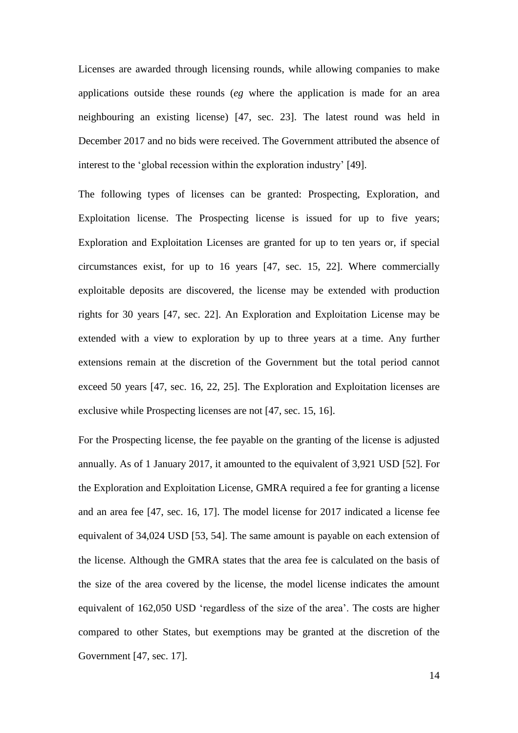Licenses are awarded through licensing rounds, while allowing companies to make applications outside these rounds (*eg* where the application is made for an area neighbouring an existing license) [47, sec. 23]. The latest round was held in December 2017 and no bids were received. The Government attributed the absence of interest to the 'global recession within the exploration industry' [49].

The following types of licenses can be granted: Prospecting, Exploration, and Exploitation license. The Prospecting license is issued for up to five years; Exploration and Exploitation Licenses are granted for up to ten years or, if special circumstances exist, for up to 16 years [47, sec. 15, 22]. Where commercially exploitable deposits are discovered, the license may be extended with production rights for 30 years [47, sec. 22]. An Exploration and Exploitation License may be extended with a view to exploration by up to three years at a time. Any further extensions remain at the discretion of the Government but the total period cannot exceed 50 years [47, sec. 16, 22, 25]. The Exploration and Exploitation licenses are exclusive while Prospecting licenses are not [47, sec. 15, 16].

For the Prospecting license, the fee payable on the granting of the license is adjusted annually. As of 1 January 2017, it amounted to the equivalent of 3,921 USD [52]. For the Exploration and Exploitation License, GMRA required a fee for granting a license and an area fee [47, sec. 16, 17]. The model license for 2017 indicated a license fee equivalent of 34,024 USD [53, 54]. The same amount is payable on each extension of the license. Although the GMRA states that the area fee is calculated on the basis of the size of the area covered by the license, the model license indicates the amount equivalent of 162,050 USD 'regardless of the size of the area'. The costs are higher compared to other States, but exemptions may be granted at the discretion of the Government [47, sec. 17].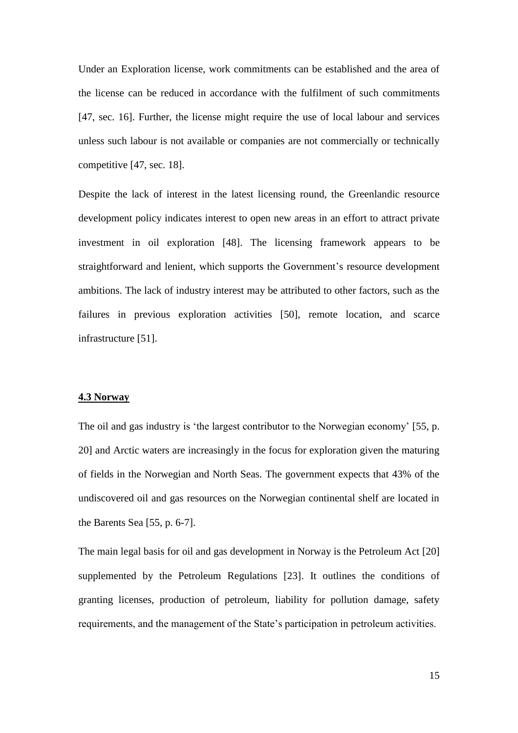Under an Exploration license, work commitments can be established and the area of the license can be reduced in accordance with the fulfilment of such commitments [47, sec. 16]. Further, the license might require the use of local labour and services unless such labour is not available or companies are not commercially or technically competitive [47, sec. 18].

Despite the lack of interest in the latest licensing round, the Greenlandic resource development policy indicates interest to open new areas in an effort to attract private investment in oil exploration [48]. The licensing framework appears to be straightforward and lenient, which supports the Government's resource development ambitions. The lack of industry interest may be attributed to other factors, such as the failures in previous exploration activities [50], remote location, and scarce infrastructure [51].

## **4.3 Norway**

The oil and gas industry is 'the largest contributor to the Norwegian economy' [55, p. 20] and Arctic waters are increasingly in the focus for exploration given the maturing of fields in the Norwegian and North Seas. The government expects that 43% of the undiscovered oil and gas resources on the Norwegian continental shelf are located in the Barents Sea [55, p. 6-7].

The main legal basis for oil and gas development in Norway is the Petroleum Act [20] supplemented by the Petroleum Regulations [23]. It outlines the conditions of granting licenses, production of petroleum, liability for pollution damage, safety requirements, and the management of the State's participation in petroleum activities.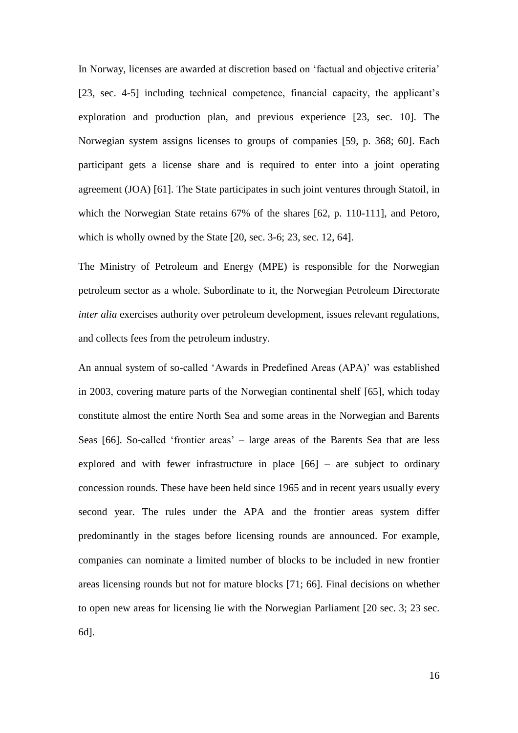In Norway, licenses are awarded at discretion based on 'factual and objective criteria' [23, sec. 4-5] including technical competence, financial capacity, the applicant's exploration and production plan, and previous experience [23, sec. 10]. The Norwegian system assigns licenses to groups of companies [59, p. 368; 60]. Each participant gets a license share and is required to enter into a joint operating agreement (JOA) [61]. The State participates in such joint ventures through Statoil, in which the Norwegian State retains 67% of the shares [62, p. 110-111], and Petoro, which is wholly owned by the State [20, sec. 3-6; 23, sec. 12, 64].

The Ministry of Petroleum and Energy (MPE) is responsible for the Norwegian petroleum sector as a whole. Subordinate to it, the Norwegian Petroleum Directorate *inter alia* exercises authority over petroleum development, issues relevant regulations, and collects fees from the petroleum industry.

An annual system of so-called 'Awards in Predefined Areas (APA)' was established in 2003, covering mature parts of the Norwegian continental shelf [65], which today constitute almost the entire North Sea and some areas in the Norwegian and Barents Seas [66]. So-called 'frontier areas' – large areas of the Barents Sea that are less explored and with fewer infrastructure in place [66] – are subject to ordinary concession rounds. These have been held since 1965 and in recent years usually every second year. The rules under the APA and the frontier areas system differ predominantly in the stages before licensing rounds are announced. For example, companies can nominate a limited number of blocks to be included in new frontier areas licensing rounds but not for mature blocks [71; 66]. Final decisions on whether to open new areas for licensing lie with the Norwegian Parliament [20 sec. 3; 23 sec. 6d].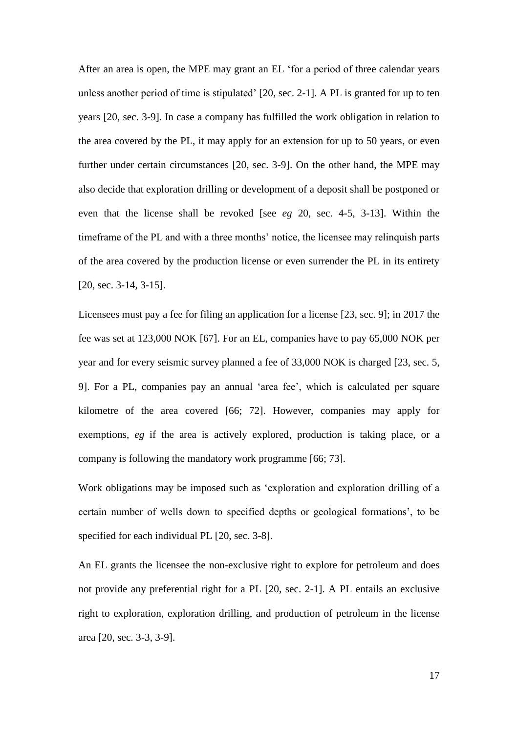After an area is open, the MPE may grant an EL 'for a period of three calendar years unless another period of time is stipulated' [20, sec. 2-1]. A PL is granted for up to ten years [20, sec. 3-9]. In case a company has fulfilled the work obligation in relation to the area covered by the PL, it may apply for an extension for up to 50 years, or even further under certain circumstances [20, sec. 3-9]. On the other hand, the MPE may also decide that exploration drilling or development of a deposit shall be postponed or even that the license shall be revoked [see *eg* 20, sec. 4-5, 3-13]. Within the timeframe of the PL and with a three months' notice, the licensee may relinquish parts of the area covered by the production license or even surrender the PL in its entirety [20, sec. 3-14, 3-15].

Licensees must pay a fee for filing an application for a license [23, sec. 9]; in 2017 the fee was set at 123,000 NOK [67]. For an EL, companies have to pay 65,000 NOK per year and for every seismic survey planned a fee of 33,000 NOK is charged [23, sec. 5, 9]. For a PL, companies pay an annual 'area fee', which is calculated per square kilometre of the area covered [66; 72]. However, companies may apply for exemptions, *eg* if the area is actively explored, production is taking place, or a company is following the mandatory work programme [66; 73].

Work obligations may be imposed such as 'exploration and exploration drilling of a certain number of wells down to specified depths or geological formations', to be specified for each individual PL [20, sec. 3-8].

An EL grants the licensee the non-exclusive right to explore for petroleum and does not provide any preferential right for a PL [20, sec. 2-1]. A PL entails an exclusive right to exploration, exploration drilling, and production of petroleum in the license area [20, sec. 3-3, 3-9].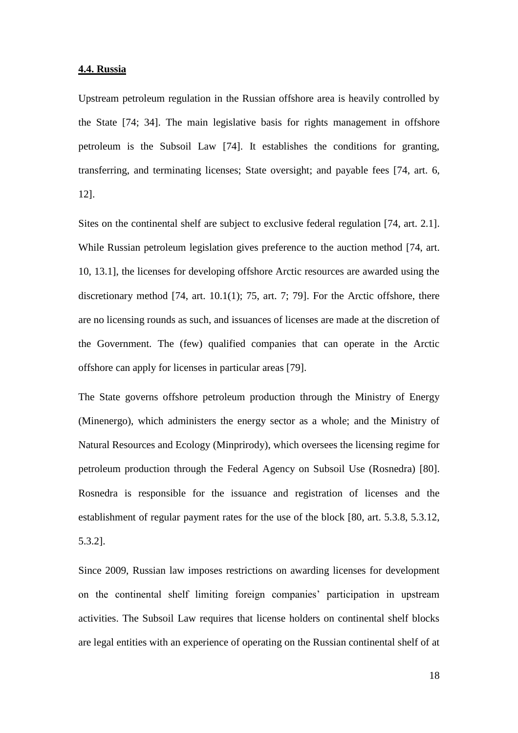#### **4.4. Russia**

Upstream petroleum regulation in the Russian offshore area is heavily controlled by the State [74; 34]. The main legislative basis for rights management in offshore petroleum is the Subsoil Law [74]. It establishes the conditions for granting, transferring, and terminating licenses; State oversight; and payable fees [74, art. 6, 12].

Sites on the continental shelf are subject to exclusive federal regulation [74, art. 2.1]. While Russian petroleum legislation gives preference to the auction method [74, art. 10, 13.1], the licenses for developing offshore Arctic resources are awarded using the discretionary method [74, art. 10.1(1); 75, art. 7; 79]. For the Arctic offshore, there are no licensing rounds as such, and issuances of licenses are made at the discretion of the Government. The (few) qualified companies that can operate in the Arctic offshore can apply for licenses in particular areas [79].

The State governs offshore petroleum production through the Ministry of Energy (Minenergo), which administers the energy sector as a whole; and the Ministry of Natural Resources and Ecology (Minprirody), which oversees the licensing regime for petroleum production through the Federal Agency on Subsoil Use (Rosnedra) [80]. Rosnedra is responsible for the issuance and registration of licenses and the establishment of regular payment rates for the use of the block [80, art. 5.3.8, 5.3.12, 5.3.2].

Since 2009, Russian law imposes restrictions on awarding licenses for development on the continental shelf limiting foreign companies' participation in upstream activities. The Subsoil Law requires that license holders on continental shelf blocks are legal entities with an experience of operating on the Russian continental shelf of at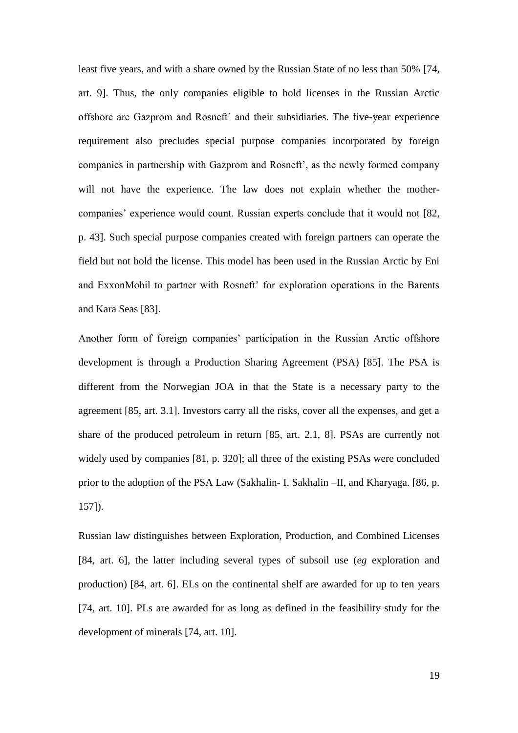least five years, and with a share owned by the Russian State of no less than 50% [74, art. 9]. Thus, the only companies eligible to hold licenses in the Russian Arctic offshore are Gazprom and Rosneft' and their subsidiaries. The five-year experience requirement also precludes special purpose companies incorporated by foreign companies in partnership with Gazprom and Rosneft', as the newly formed company will not have the experience. The law does not explain whether the mothercompanies' experience would count. Russian experts conclude that it would not [82, p. 43]. Such special purpose companies created with foreign partners can operate the field but not hold the license. This model has been used in the Russian Arctic by Eni and ExxonMobil to partner with Rosneft' for exploration operations in the Barents and Kara Seas [83].

Another form of foreign companies' participation in the Russian Arctic offshore development is through a Production Sharing Agreement (PSA) [85]. The PSA is different from the Norwegian JOA in that the State is a necessary party to the agreement [85, art. 3.1]. Investors carry all the risks, cover all the expenses, and get a share of the produced petroleum in return [85, art. 2.1, 8]. PSAs are currently not widely used by companies [81, p. 320]; all three of the existing PSAs were concluded prior to the adoption of the PSA Law (Sakhalin- I, Sakhalin –II, and Kharyaga. [86, p. 157]).

Russian law distinguishes between Exploration, Production, and Combined Licenses [84, art. 6], the latter including several types of subsoil use (*eg* exploration and production) [84, art. 6]. ELs on the continental shelf are awarded for up to ten years [74, art. 10]. PLs are awarded for as long as defined in the feasibility study for the development of minerals [74, art. 10].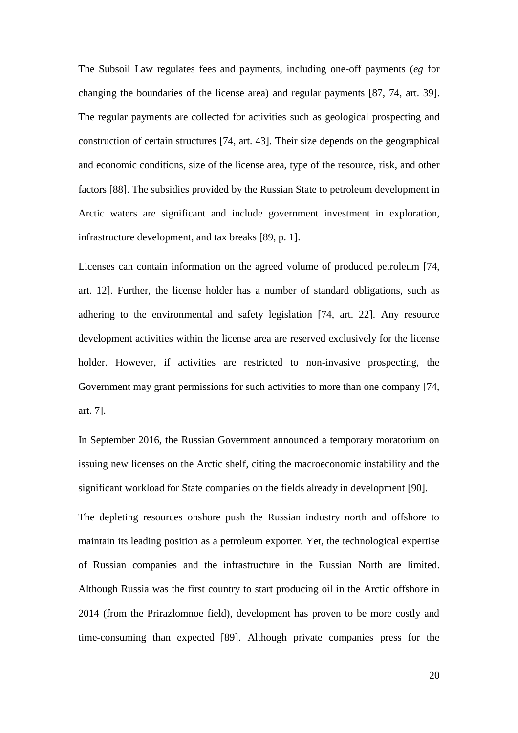The Subsoil Law regulates fees and payments, including one-off payments (*eg* for changing the boundaries of the license area) and regular payments [87, 74, art. 39]. The regular payments are collected for activities such as geological prospecting and construction of certain structures [74, art. 43]. Their size depends on the geographical and economic conditions, size of the license area, type of the resource, risk, and other factors [88]. The subsidies provided by the Russian State to petroleum development in Arctic waters are significant and include government investment in exploration, infrastructure development, and tax breaks [89, p. 1].

Licenses can contain information on the agreed volume of produced petroleum [74, art. 12]. Further, the license holder has a number of standard obligations, such as adhering to the environmental and safety legislation [74, art. 22]. Any resource development activities within the license area are reserved exclusively for the license holder. However, if activities are restricted to non-invasive prospecting, the Government may grant permissions for such activities to more than one company [74, art. 7].

In September 2016, the Russian Government announced a temporary moratorium on issuing new licenses on the Arctic shelf, citing the macroeconomic instability and the significant workload for State companies on the fields already in development [90].

The depleting resources onshore push the Russian industry north and offshore to maintain its leading position as a petroleum exporter. Yet, the technological expertise of Russian companies and the infrastructure in the Russian North are limited. Although Russia was the first country to start producing oil in the Arctic offshore in 2014 (from the Prirazlomnoe field), development has proven to be more costly and time-consuming than expected [89]. Although private companies press for the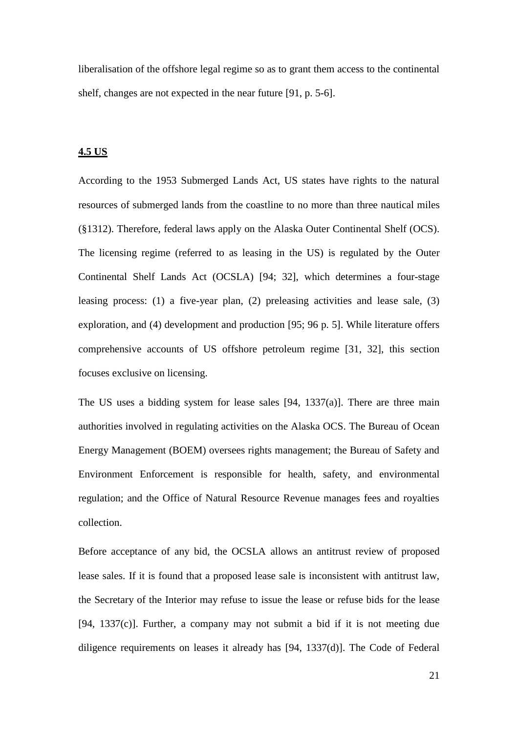liberalisation of the offshore legal regime so as to grant them access to the continental shelf, changes are not expected in the near future [91, p. 5-6].

### **4.5 US**

According to the 1953 Submerged Lands Act, US states have rights to the natural resources of submerged lands from the coastline to no more than three nautical miles (§1312). Therefore, federal laws apply on the Alaska Outer Continental Shelf (OCS). The licensing regime (referred to as leasing in the US) is regulated by the Outer Continental Shelf Lands Act (OCSLA) [94; 32], which determines a four-stage leasing process: (1) a five-year plan, (2) preleasing activities and lease sale, (3) exploration, and (4) development and production [95; 96 p. 5]. While literature offers comprehensive accounts of US offshore petroleum regime [31, 32], this section focuses exclusive on licensing.

The US uses a bidding system for lease sales [94, 1337(a)]. There are three main authorities involved in regulating activities on the Alaska OCS. The Bureau of Ocean Energy Management (BOEM) oversees rights management; the Bureau of Safety and Environment Enforcement is responsible for health, safety, and environmental regulation; and the Office of Natural Resource Revenue manages fees and royalties collection.

Before acceptance of any bid, the OCSLA allows an antitrust review of proposed lease sales. If it is found that a proposed lease sale is inconsistent with antitrust law, the Secretary of the Interior may refuse to issue the lease or refuse bids for the lease  $[94, 1337(c)]$ . Further, a company may not submit a bid if it is not meeting due diligence requirements on leases it already has [94, 1337(d)]. The Code of Federal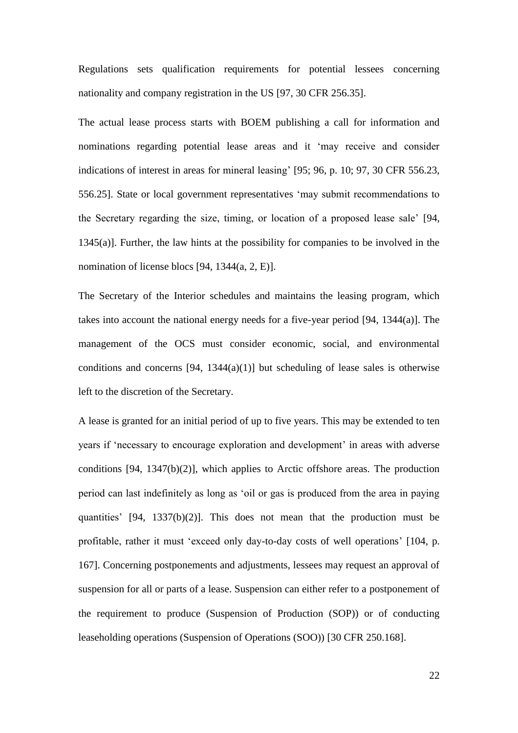Regulations sets qualification requirements for potential lessees concerning nationality and company registration in the US [97, 30 CFR 256.35].

The actual lease process starts with BOEM publishing a call for information and nominations regarding potential lease areas and it 'may receive and consider indications of interest in areas for mineral leasing' [95; 96, p. 10; 97, 30 CFR 556.23, 556.25]. State or local government representatives 'may submit recommendations to the Secretary regarding the size, timing, or location of a proposed lease sale' [94, 1345(a)]. Further, the law hints at the possibility for companies to be involved in the nomination of license blocs [94, 1344(a, 2, E)].

The Secretary of the Interior schedules and maintains the leasing program, which takes into account the national energy needs for a five-year period [94, 1344(a)]. The management of the OCS must consider economic, social, and environmental conditions and concerns  $[94, 1344(a)(1)]$  but scheduling of lease sales is otherwise left to the discretion of the Secretary.

A lease is granted for an initial period of up to five years. This may be extended to ten years if 'necessary to encourage exploration and development' in areas with adverse conditions [94, 1347(b)(2)], which applies to Arctic offshore areas. The production period can last indefinitely as long as 'oil or gas is produced from the area in paying quantities' [94, 1337(b)(2)]. This does not mean that the production must be profitable, rather it must 'exceed only day-to-day costs of well operations' [104, p. 167]. Concerning postponements and adjustments, lessees may request an approval of suspension for all or parts of a lease. Suspension can either refer to a postponement of the requirement to produce (Suspension of Production (SOP)) or of conducting leaseholding operations (Suspension of Operations (SOO)) [30 CFR 250.168].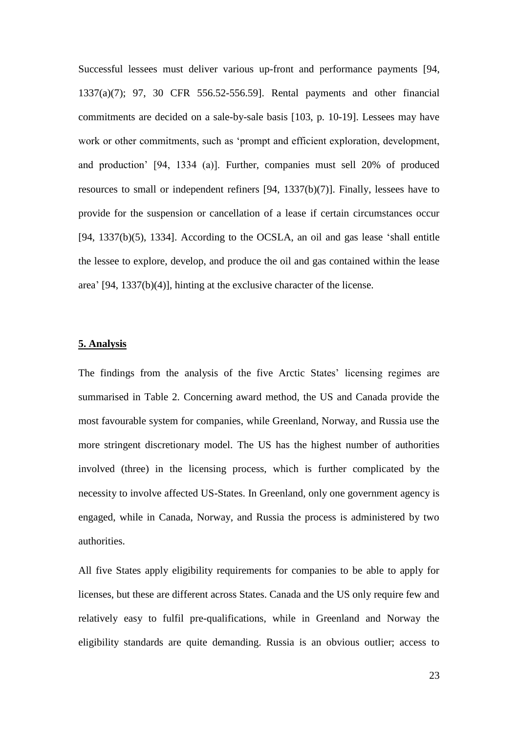Successful lessees must deliver various up-front and performance payments [94, 1337(a)(7); 97, 30 CFR 556.52-556.59]. Rental payments and other financial commitments are decided on a sale-by-sale basis [103, p. 10-19]. Lessees may have work or other commitments, such as 'prompt and efficient exploration, development, and production' [94, 1334 (a)]. Further, companies must sell 20% of produced resources to small or independent refiners [94, 1337(b)(7)]. Finally, lessees have to provide for the suspension or cancellation of a lease if certain circumstances occur [94, 1337(b)(5), 1334]. According to the OCSLA, an oil and gas lease 'shall entitle the lessee to explore, develop, and produce the oil and gas contained within the lease area' [94, 1337(b)(4)], hinting at the exclusive character of the license.

#### **5. Analysis**

The findings from the analysis of the five Arctic States' licensing regimes are summarised in Table 2. Concerning award method, the US and Canada provide the most favourable system for companies, while Greenland, Norway, and Russia use the more stringent discretionary model. The US has the highest number of authorities involved (three) in the licensing process, which is further complicated by the necessity to involve affected US-States. In Greenland, only one government agency is engaged, while in Canada, Norway, and Russia the process is administered by two authorities.

All five States apply eligibility requirements for companies to be able to apply for licenses, but these are different across States. Canada and the US only require few and relatively easy to fulfil pre-qualifications, while in Greenland and Norway the eligibility standards are quite demanding. Russia is an obvious outlier; access to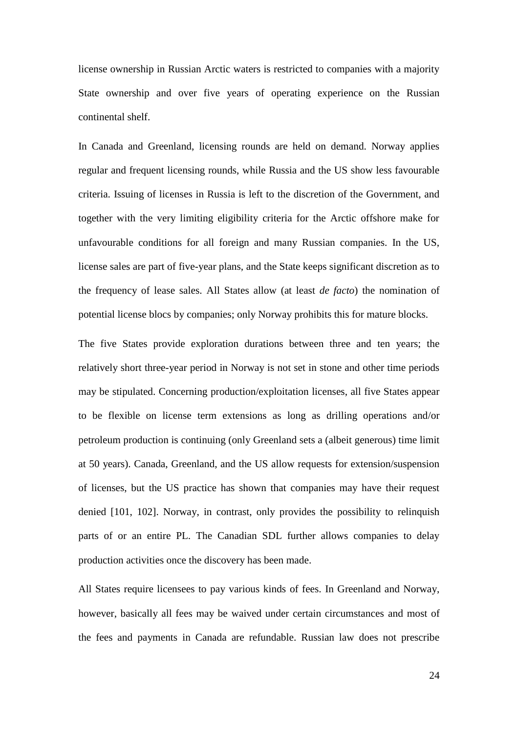license ownership in Russian Arctic waters is restricted to companies with a majority State ownership and over five years of operating experience on the Russian continental shelf.

In Canada and Greenland, licensing rounds are held on demand. Norway applies regular and frequent licensing rounds, while Russia and the US show less favourable criteria. Issuing of licenses in Russia is left to the discretion of the Government, and together with the very limiting eligibility criteria for the Arctic offshore make for unfavourable conditions for all foreign and many Russian companies. In the US, license sales are part of five-year plans, and the State keeps significant discretion as to the frequency of lease sales. All States allow (at least *de facto*) the nomination of potential license blocs by companies; only Norway prohibits this for mature blocks.

The five States provide exploration durations between three and ten years; the relatively short three-year period in Norway is not set in stone and other time periods may be stipulated. Concerning production/exploitation licenses, all five States appear to be flexible on license term extensions as long as drilling operations and/or petroleum production is continuing (only Greenland sets a (albeit generous) time limit at 50 years). Canada, Greenland, and the US allow requests for extension/suspension of licenses, but the US practice has shown that companies may have their request denied [101, 102]. Norway, in contrast, only provides the possibility to relinquish parts of or an entire PL. The Canadian SDL further allows companies to delay production activities once the discovery has been made.

All States require licensees to pay various kinds of fees. In Greenland and Norway, however, basically all fees may be waived under certain circumstances and most of the fees and payments in Canada are refundable. Russian law does not prescribe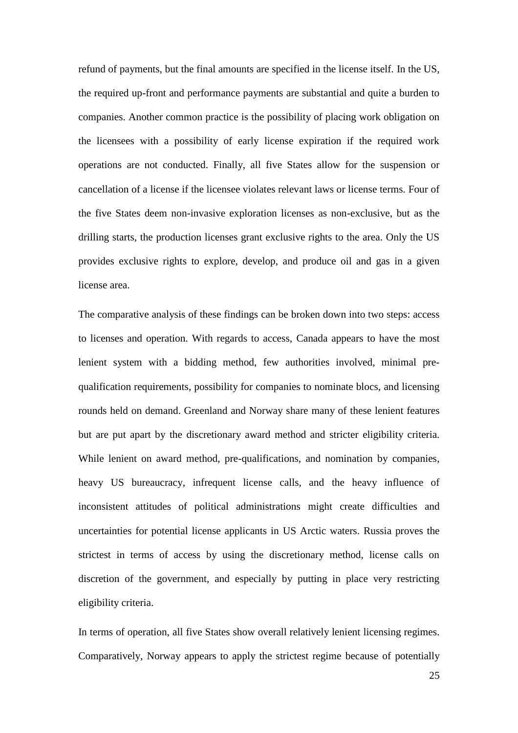refund of payments, but the final amounts are specified in the license itself. In the US, the required up-front and performance payments are substantial and quite a burden to companies. Another common practice is the possibility of placing work obligation on the licensees with a possibility of early license expiration if the required work operations are not conducted. Finally, all five States allow for the suspension or cancellation of a license if the licensee violates relevant laws or license terms. Four of the five States deem non-invasive exploration licenses as non-exclusive, but as the drilling starts, the production licenses grant exclusive rights to the area. Only the US provides exclusive rights to explore, develop, and produce oil and gas in a given license area.

The comparative analysis of these findings can be broken down into two steps: access to licenses and operation. With regards to access, Canada appears to have the most lenient system with a bidding method, few authorities involved, minimal prequalification requirements, possibility for companies to nominate blocs, and licensing rounds held on demand. Greenland and Norway share many of these lenient features but are put apart by the discretionary award method and stricter eligibility criteria. While lenient on award method, pre-qualifications, and nomination by companies, heavy US bureaucracy, infrequent license calls, and the heavy influence of inconsistent attitudes of political administrations might create difficulties and uncertainties for potential license applicants in US Arctic waters. Russia proves the strictest in terms of access by using the discretionary method, license calls on discretion of the government, and especially by putting in place very restricting eligibility criteria.

In terms of operation, all five States show overall relatively lenient licensing regimes. Comparatively, Norway appears to apply the strictest regime because of potentially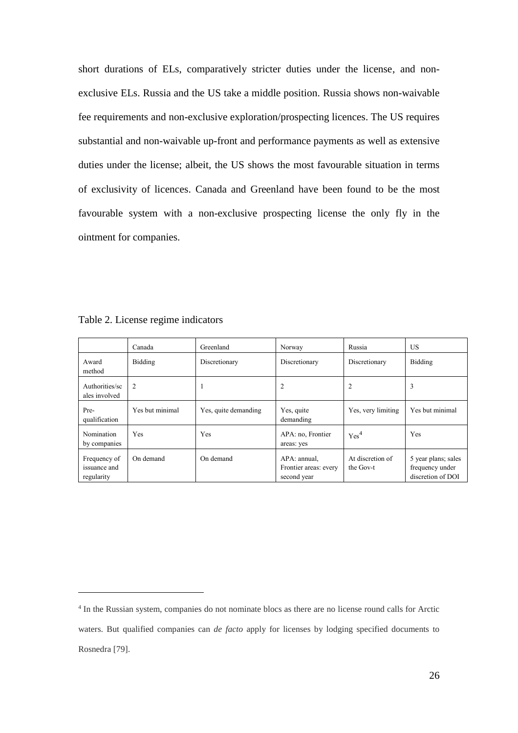short durations of ELs, comparatively stricter duties under the license, and nonexclusive ELs. Russia and the US take a middle position. Russia shows non-waivable fee requirements and non-exclusive exploration/prospecting licences. The US requires substantial and non-waivable up-front and performance payments as well as extensive duties under the license; albeit, the US shows the most favourable situation in terms of exclusivity of licences. Canada and Greenland have been found to be the most favourable system with a non-exclusive prospecting license the only fly in the ointment for companies.

|                                            | Canada          | Greenland            | Norway                                               | Russia                        | US.                                                         |
|--------------------------------------------|-----------------|----------------------|------------------------------------------------------|-------------------------------|-------------------------------------------------------------|
| Award<br>method                            | Bidding         | Discretionary        | Discretionary                                        | Discretionary                 | Bidding                                                     |
| Authorities/sc<br>ales involved            | 2               | - 1                  | 2                                                    | 2                             | 3                                                           |
| Pre-<br>qualification                      | Yes but minimal | Yes, quite demanding | Yes, quite<br>demanding                              | Yes, very limiting            | Yes but minimal                                             |
| Nomination<br>by companies                 | Yes             | Yes                  | APA: no, Frontier<br>areas: yes                      | Yes <sup>4</sup>              | Yes                                                         |
| Frequency of<br>issuance and<br>regularity | On demand       | On demand            | APA: annual.<br>Frontier areas: every<br>second year | At discretion of<br>the Gov-t | 5 year plans; sales<br>frequency under<br>discretion of DOI |

Table 2. License regime indicators

 $\overline{a}$ 

<sup>4</sup> In the Russian system, companies do not nominate blocs as there are no license round calls for Arctic waters. But qualified companies can *de facto* apply for licenses by lodging specified documents to Rosnedra [79].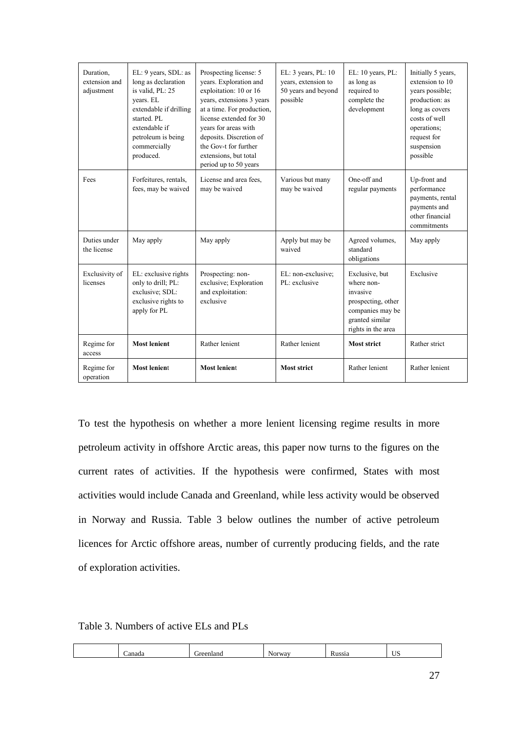| Duration,<br>extension and<br>adjustment | EL: 9 years, SDL: as<br>long as declaration<br>is valid. PL: 25<br>years. EL<br>extendable if drilling<br>started. PL<br>extendable if<br>petroleum is being<br>commercially<br>produced. | Prospecting license: 5<br>years. Exploration and<br>exploitation: 10 or 16<br>years, extensions 3 years<br>at a time. For production,<br>license extended for 30<br>years for areas with<br>deposits. Discretion of<br>the Gov-t for further<br>extensions, but total<br>period up to 50 years | EL: 3 years, PL: 10<br>vears, extension to<br>50 years and beyond<br>possible | EL: 10 years, PL:<br>as long as<br>required to<br>complete the<br>development                                               | Initially 5 years,<br>extension to 10<br>years possible;<br>production: as<br>long as covers<br>costs of well<br>operations;<br>request for<br>suspension<br>possible |
|------------------------------------------|-------------------------------------------------------------------------------------------------------------------------------------------------------------------------------------------|------------------------------------------------------------------------------------------------------------------------------------------------------------------------------------------------------------------------------------------------------------------------------------------------|-------------------------------------------------------------------------------|-----------------------------------------------------------------------------------------------------------------------------|-----------------------------------------------------------------------------------------------------------------------------------------------------------------------|
| Fees                                     | Forfeitures, rentals,<br>fees, may be waived                                                                                                                                              | License and area fees,<br>may be waived                                                                                                                                                                                                                                                        | Various but many<br>may be waived                                             | One-off and<br>regular payments                                                                                             | Up-front and<br>performance<br>payments, rental<br>payments and<br>other financial<br>commitments                                                                     |
| Duties under<br>the license              | May apply                                                                                                                                                                                 | May apply                                                                                                                                                                                                                                                                                      | Apply but may be<br>waived                                                    | Agreed volumes,<br>standard<br>obligations                                                                                  | May apply                                                                                                                                                             |
| Exclusivity of<br>licenses               | EL: exclusive rights<br>only to drill; PL:<br>exclusive; SDL:<br>exclusive rights to<br>apply for PL                                                                                      | Prospecting: non-<br>exclusive; Exploration<br>and exploitation:<br>exclusive                                                                                                                                                                                                                  | EL: non-exclusive;<br>PL: exclusive                                           | Exclusive, but<br>where non-<br>invasive<br>prospecting, other<br>companies may be<br>granted similar<br>rights in the area | Exclusive                                                                                                                                                             |
| Regime for<br>access                     | <b>Most lenient</b>                                                                                                                                                                       | Rather lenient                                                                                                                                                                                                                                                                                 | Rather lenient                                                                | <b>Most strict</b>                                                                                                          | Rather strict                                                                                                                                                         |
| Regime for<br>operation                  | <b>Most lenient</b>                                                                                                                                                                       | <b>Most lenient</b>                                                                                                                                                                                                                                                                            | <b>Most strict</b>                                                            | Rather lenient                                                                                                              | Rather lenient                                                                                                                                                        |

To test the hypothesis on whether a more lenient licensing regime results in more petroleum activity in offshore Arctic areas, this paper now turns to the figures on the current rates of activities. If the hypothesis were confirmed, States with most activities would include Canada and Greenland, while less activity would be observed in Norway and Russia. Table 3 below outlines the number of active petroleum licences for Arctic offshore areas, number of currently producing fields, and the rate of exploration activities.

Table 3. Numbers of active ELs and PLs

| $\sim$ 40.<br>$\sim$ $   -$<br>$-$<br><br>vav.<br>'Nr<br>ж<br>апас<br>"We<br>нан<br>$\cdots$ |  |  |  |                    |
|----------------------------------------------------------------------------------------------|--|--|--|--------------------|
|                                                                                              |  |  |  | $T$ $T$ $C$<br>ັບເ |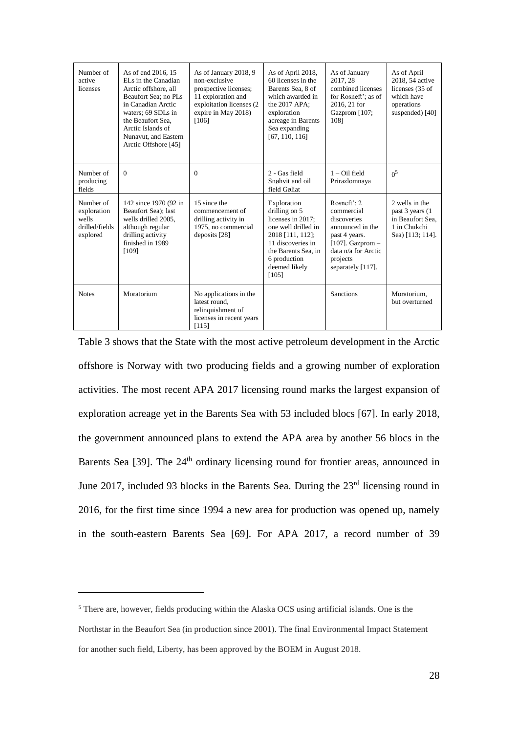| Number of<br>active<br>licenses                                 | As of end 2016, 15<br>ELs in the Canadian<br>Arctic offshore, all<br>Beaufort Sea: no PLs<br>in Canadian Arctic<br>waters; 69 SDLs in<br>the Beaufort Sea.<br>Arctic Islands of<br>Nunavut, and Eastern<br>Arctic Offshore [45] | As of January 2018, 9<br>non-exclusive<br>prospective licenses;<br>11 exploration and<br>exploitation licenses (2<br>expire in May 2018)<br>[106] | As of April 2018,<br>60 licenses in the<br>Barents Sea, 8 of<br>which awarded in<br>the 2017 APA:<br>exploration<br>acreage in Barents<br>Sea expanding<br>[67, 110, 116]          | As of January<br>2017, 28<br>combined licenses<br>for Rosneft': as of<br>2016, 21 for<br>Gazprom [107;<br>1081                                                     | As of April<br>2018, 54 active<br>licenses (35 of<br>which have<br>operations<br>suspended) [40] |
|-----------------------------------------------------------------|---------------------------------------------------------------------------------------------------------------------------------------------------------------------------------------------------------------------------------|---------------------------------------------------------------------------------------------------------------------------------------------------|------------------------------------------------------------------------------------------------------------------------------------------------------------------------------------|--------------------------------------------------------------------------------------------------------------------------------------------------------------------|--------------------------------------------------------------------------------------------------|
| Number of<br>producing<br>fields                                | $\Omega$                                                                                                                                                                                                                        | $\Omega$                                                                                                                                          | 2 - Gas field<br>Snøhvit and oil<br>field Goliat                                                                                                                                   | $1 - Oil$ field<br>Prirazlomnaya                                                                                                                                   | 0 <sup>5</sup>                                                                                   |
| Number of<br>exploration<br>wells<br>drilled/fields<br>explored | 142 since 1970 (92 in<br>Beaufort Sea); last<br>wells drilled 2005,<br>although regular<br>drilling activity<br>finished in 1989<br>[109]                                                                                       | 15 since the<br>commencement of<br>drilling activity in<br>1975, no commercial<br>deposits [28]                                                   | Exploration<br>drilling on 5<br>licenses in 2017:<br>one well drilled in<br>2018 [111, 112];<br>11 discoveries in<br>the Barents Sea, in<br>6 production<br>deemed likely<br>[105] | Rosneft $\cdot$ 2.<br>commercial<br>discoveries<br>announced in the<br>past 4 years.<br>[107]. Gazprom $-$<br>data n/a for Arctic<br>projects<br>separately [117]. | 2 wells in the<br>past 3 years (1)<br>in Beaufort Sea.<br>1 in Chukchi<br>Sea) [113; 114].       |
| <b>Notes</b>                                                    | Moratorium                                                                                                                                                                                                                      | No applications in the<br>latest round,<br>relinquishment of<br>licenses in recent years<br>[115]                                                 |                                                                                                                                                                                    | Sanctions                                                                                                                                                          | Moratorium.<br>but overturned                                                                    |

Table 3 shows that the State with the most active petroleum development in the Arctic offshore is Norway with two producing fields and a growing number of exploration activities. The most recent APA 2017 licensing round marks the largest expansion of exploration acreage yet in the Barents Sea with 53 included blocs [67]. In early 2018, the government announced plans to extend the APA area by another 56 blocs in the Barents Sea [39]. The 24<sup>th</sup> ordinary licensing round for frontier areas, announced in June 2017, included 93 blocks in the Barents Sea. During the 23rd licensing round in 2016, for the first time since 1994 a new area for production was opened up, namely in the south-eastern Barents Sea [69]. For APA 2017, a record number of 39

 $\overline{a}$ 

<sup>5</sup> There are, however, fields producing within the Alaska OCS using artificial islands. One is the Northstar in the Beaufort Sea (in production since 2001). The final Environmental Impact Statement for another such field, Liberty, has been approved by the BOEM in August 2018.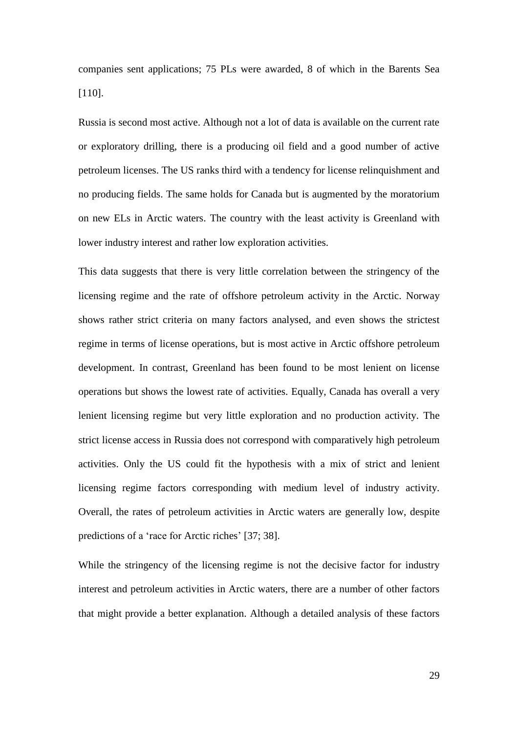companies sent applications; 75 PLs were awarded, 8 of which in the Barents Sea [110].

Russia is second most active. Although not a lot of data is available on the current rate or exploratory drilling, there is a producing oil field and a good number of active petroleum licenses. The US ranks third with a tendency for license relinquishment and no producing fields. The same holds for Canada but is augmented by the moratorium on new ELs in Arctic waters. The country with the least activity is Greenland with lower industry interest and rather low exploration activities.

This data suggests that there is very little correlation between the stringency of the licensing regime and the rate of offshore petroleum activity in the Arctic. Norway shows rather strict criteria on many factors analysed, and even shows the strictest regime in terms of license operations, but is most active in Arctic offshore petroleum development. In contrast, Greenland has been found to be most lenient on license operations but shows the lowest rate of activities. Equally, Canada has overall a very lenient licensing regime but very little exploration and no production activity. The strict license access in Russia does not correspond with comparatively high petroleum activities. Only the US could fit the hypothesis with a mix of strict and lenient licensing regime factors corresponding with medium level of industry activity. Overall, the rates of petroleum activities in Arctic waters are generally low, despite predictions of a 'race for Arctic riches' [37; 38].

While the stringency of the licensing regime is not the decisive factor for industry interest and petroleum activities in Arctic waters, there are a number of other factors that might provide a better explanation. Although a detailed analysis of these factors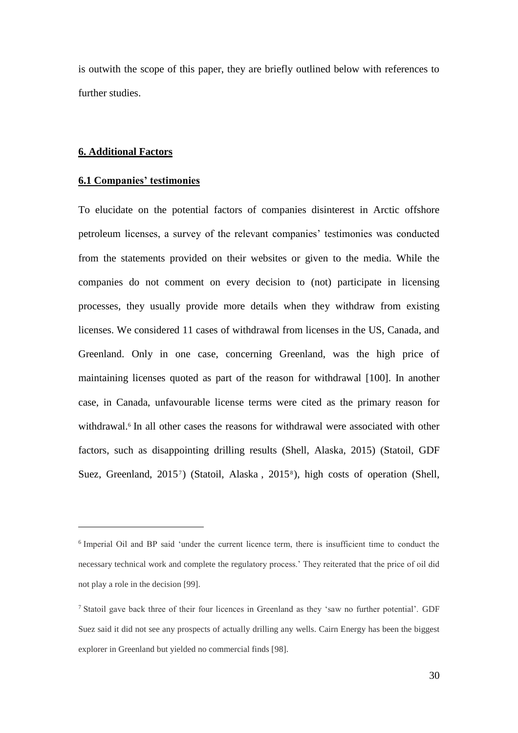is outwith the scope of this paper, they are briefly outlined below with references to further studies.

### **6. Additional Factors**

 $\overline{a}$ 

#### **6.1 Companies' testimonies**

To elucidate on the potential factors of companies disinterest in Arctic offshore petroleum licenses, a survey of the relevant companies' testimonies was conducted from the statements provided on their websites or given to the media. While the companies do not comment on every decision to (not) participate in licensing processes, they usually provide more details when they withdraw from existing licenses. We considered 11 cases of withdrawal from licenses in the US, Canada, and Greenland. Only in one case, concerning Greenland, was the high price of maintaining licenses quoted as part of the reason for withdrawal [100]. In another case, in Canada, unfavourable license terms were cited as the primary reason for withdrawal.<sup>6</sup> In all other cases the reasons for withdrawal were associated with other factors, such as disappointing drilling results (Shell, Alaska, 2015) (Statoil, GDF Suez, Greenland, 2015<sup>7</sup>) (Statoil, Alaska, 2015<sup>8</sup>), high costs of operation (Shell,

<sup>6</sup> Imperial Oil and BP said 'under the current licence term, there is insufficient time to conduct the necessary technical work and complete the regulatory process.' They reiterated that the price of oil did not play a role in the decision [99].

<sup>7</sup> Statoil gave back three of their four licences in Greenland as they 'saw no further potential'. GDF Suez said it did not see any prospects of actually drilling any wells. Cairn Energy has been the biggest explorer in Greenland but yielded no commercial finds [98].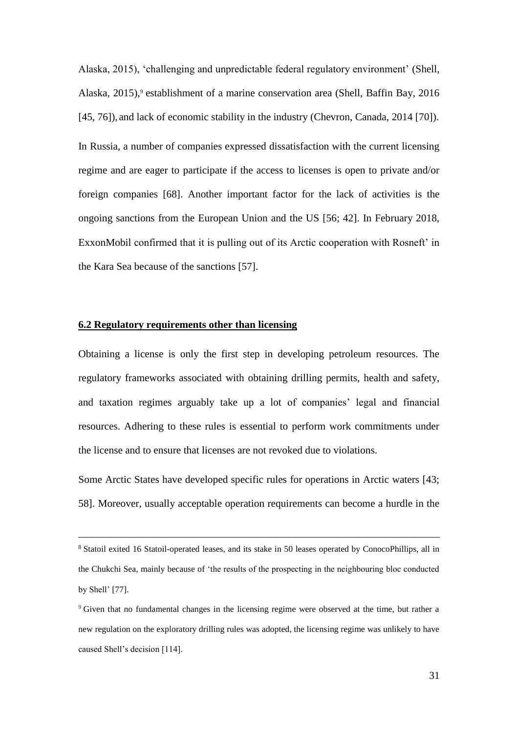Alaska, 2015), 'challenging and unpredictable federal regulatory environment' (Shell, Alaska,  $2015$ ), establishment of a marine conservation area (Shell, Baffin Bay,  $2016$ ) [45, 76]), and lack of economic stability in the industry (Chevron, Canada, 2014 [70]). In Russia, a number of companies expressed dissatisfaction with the current licensing regime and are eager to participate if the access to licenses is open to private and/or foreign companies [68]. Another important factor for the lack of activities is the ongoing sanctions from the European Union and the US [56; 42]. In February 2018, ExxonMobil confirmed that it is pulling out of its Arctic cooperation with Rosneft' in the Kara Sea because of the sanctions [57].

#### **6.2 Regulatory requirements other than licensing**

 $\overline{a}$ 

Obtaining a license is only the first step in developing petroleum resources. The regulatory frameworks associated with obtaining drilling permits, health and safety, and taxation regimes arguably take up a lot of companies' legal and financial resources. Adhering to these rules is essential to perform work commitments under the license and to ensure that licenses are not revoked due to violations.

Some Arctic States have developed specific rules for operations in Arctic waters [43; 58]. Moreover, usually acceptable operation requirements can become a hurdle in the

<sup>8</sup> Statoil exited 16 Statoil-operated leases, and its stake in 50 leases operated by ConocoPhillips, all in the Chukchi Sea, mainly because of 'the results of the prospecting in the neighbouring bloc conducted by Shell' [77].

<sup>&</sup>lt;sup>9</sup> Given that no fundamental changes in the licensing regime were observed at the time, but rather a new regulation on the exploratory drilling rules was adopted, the licensing regime was unlikely to have caused Shell's decision [114].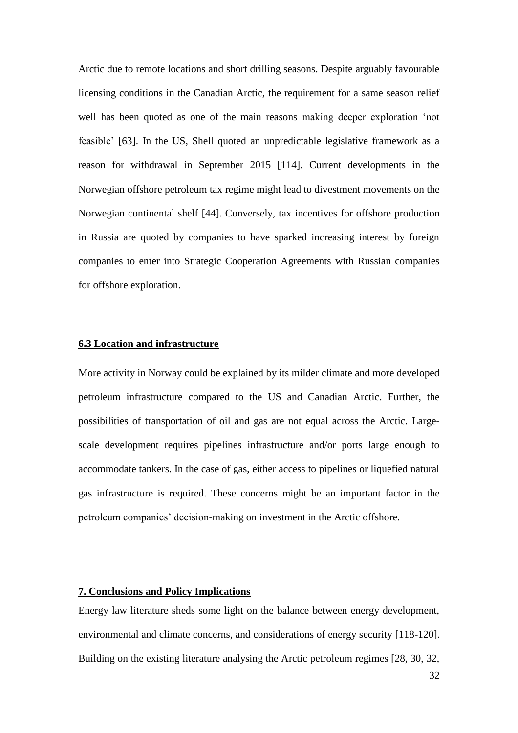Arctic due to remote locations and short drilling seasons. Despite arguably favourable licensing conditions in the Canadian Arctic, the requirement for a same season relief well has been quoted as one of the main reasons making deeper exploration 'not feasible' [63]. In the US, Shell quoted an unpredictable legislative framework as a reason for withdrawal in September 2015 [114]. Current developments in the Norwegian offshore petroleum tax regime might lead to divestment movements on the Norwegian continental shelf [44]. Conversely, tax incentives for offshore production in Russia are quoted by companies to have sparked increasing interest by foreign companies to enter into Strategic Cooperation Agreements with Russian companies for offshore exploration.

#### **6.3 Location and infrastructure**

More activity in Norway could be explained by its milder climate and more developed petroleum infrastructure compared to the US and Canadian Arctic. Further, the possibilities of transportation of oil and gas are not equal across the Arctic. Largescale development requires pipelines infrastructure and/or ports large enough to accommodate tankers. In the case of gas, either access to pipelines or liquefied natural gas infrastructure is required. These concerns might be an important factor in the petroleum companies' decision-making on investment in the Arctic offshore.

## **7. Conclusions and Policy Implications**

Energy law literature sheds some light on the balance between energy development, environmental and climate concerns, and considerations of energy security [118-120]. Building on the existing literature analysing the Arctic petroleum regimes [28, 30, 32,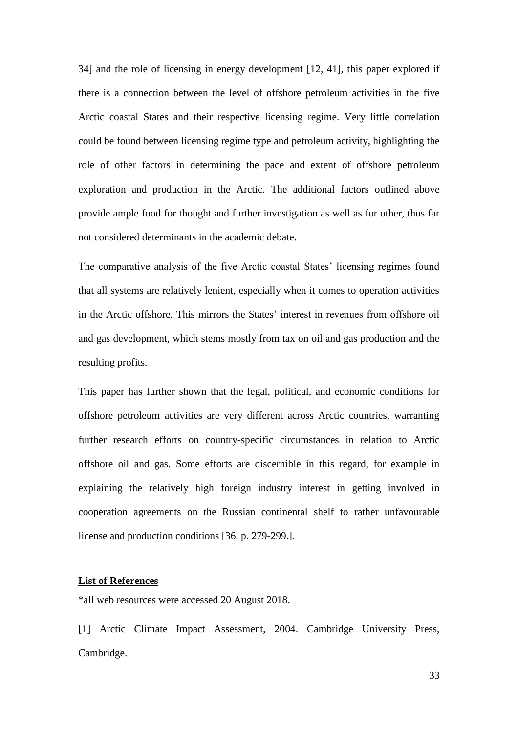34] and the role of licensing in energy development [12, 41], this paper explored if there is a connection between the level of offshore petroleum activities in the five Arctic coastal States and their respective licensing regime. Very little correlation could be found between licensing regime type and petroleum activity, highlighting the role of other factors in determining the pace and extent of offshore petroleum exploration and production in the Arctic. The additional factors outlined above provide ample food for thought and further investigation as well as for other, thus far not considered determinants in the academic debate.

The comparative analysis of the five Arctic coastal States' licensing regimes found that all systems are relatively lenient, especially when it comes to operation activities in the Arctic offshore. This mirrors the States' interest in revenues from offshore oil and gas development, which stems mostly from tax on oil and gas production and the resulting profits.

This paper has further shown that the legal, political, and economic conditions for offshore petroleum activities are very different across Arctic countries, warranting further research efforts on country-specific circumstances in relation to Arctic offshore oil and gas. Some efforts are discernible in this regard, for example in explaining the relatively high foreign industry interest in getting involved in cooperation agreements on the Russian continental shelf to rather unfavourable license and production conditions [36, p. 279-299.].

#### **List of References**

\*all web resources were accessed 20 August 2018.

[1] Arctic Climate Impact Assessment, 2004. Cambridge University Press, Cambridge.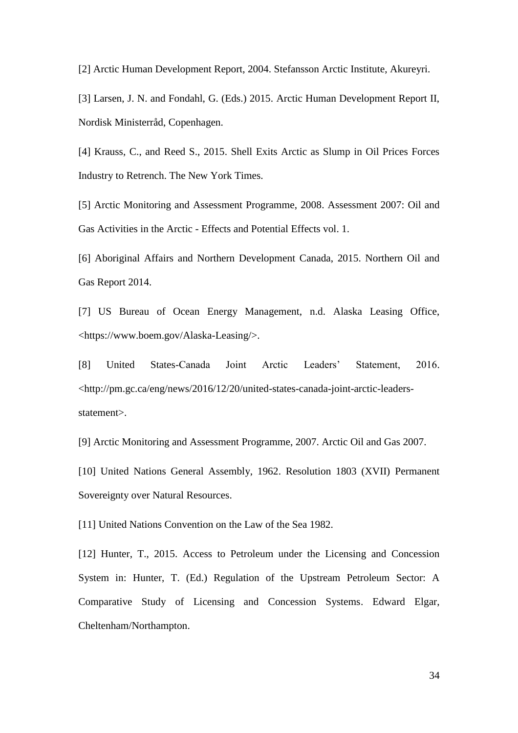[2] Arctic Human Development Report, 2004. Stefansson Arctic Institute, Akureyri.

[3] Larsen, J. N. and Fondahl, G. (Eds.) 2015. Arctic Human Development Report II, Nordisk Ministerråd, Copenhagen.

[4] Krauss, C., and Reed S., 2015. Shell Exits Arctic as Slump in Oil Prices Forces Industry to Retrench. The New York Times.

[5] Arctic Monitoring and Assessment Programme, 2008. Assessment 2007: Oil and Gas Activities in the Arctic - Effects and Potential Effects vol. 1.

[6] Aboriginal Affairs and Northern Development Canada, 2015. Northern Oil and Gas Report 2014.

[7] US Bureau of Ocean Energy Management, n.d. Alaska Leasing Office, <https://www.boem.gov/Alaska-Leasing/>.

[8] United States-Canada Joint Arctic Leaders' Statement, 2016. <http://pm.gc.ca/eng/news/2016/12/20/united-states-canada-joint-arctic-leadersstatement>.

[9] Arctic Monitoring and Assessment Programme, 2007. Arctic Oil and Gas 2007.

[10] United Nations General Assembly, 1962. Resolution 1803 (XVII) Permanent Sovereignty over Natural Resources.

[11] United Nations Convention on the Law of the Sea 1982.

[12] Hunter, T., 2015. Access to Petroleum under the Licensing and Concession System in: Hunter, T. (Ed.) Regulation of the Upstream Petroleum Sector: A Comparative Study of Licensing and Concession Systems. Edward Elgar, Cheltenham/Northampton.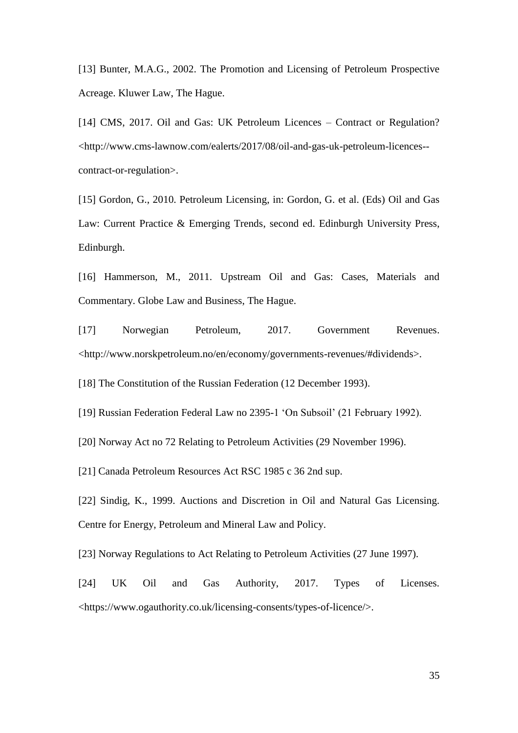[13] Bunter, M.A.G., 2002. The Promotion and Licensing of Petroleum Prospective Acreage. Kluwer Law, The Hague.

[14] CMS, 2017. Oil and Gas: UK Petroleum Licences – Contract or Regulation? <http://www.cms-lawnow.com/ealerts/2017/08/oil-and-gas-uk-petroleum-licences- contract-or-regulation>.

[15] Gordon, G., 2010. Petroleum Licensing, in: Gordon, G. et al. (Eds) Oil and Gas Law: Current Practice & Emerging Trends, second ed. Edinburgh University Press, Edinburgh.

[16] Hammerson, M., 2011. Upstream Oil and Gas: Cases, Materials and Commentary. Globe Law and Business, The Hague.

[17] Norwegian Petroleum, 2017. Government Revenues. <http://www.norskpetroleum.no/en/economy/governments-revenues/#dividends>.

[18] The Constitution of the Russian Federation (12 December 1993).

[19] Russian Federation Federal Law no 2395-1 'On Subsoil' (21 February 1992).

[20] Norway Act no 72 Relating to Petroleum Activities (29 November 1996).

[21] Canada Petroleum Resources Act RSC 1985 c 36 2nd sup.

[22] Sindig, K., 1999. Auctions and Discretion in Oil and Natural Gas Licensing. Centre for Energy, Petroleum and Mineral Law and Policy.

[23] Norway Regulations to Act Relating to Petroleum Activities (27 June 1997).

[24] UK Oil and Gas Authority, 2017. Types of Licenses. <https://www.ogauthority.co.uk/licensing-consents/types-of-licence/>.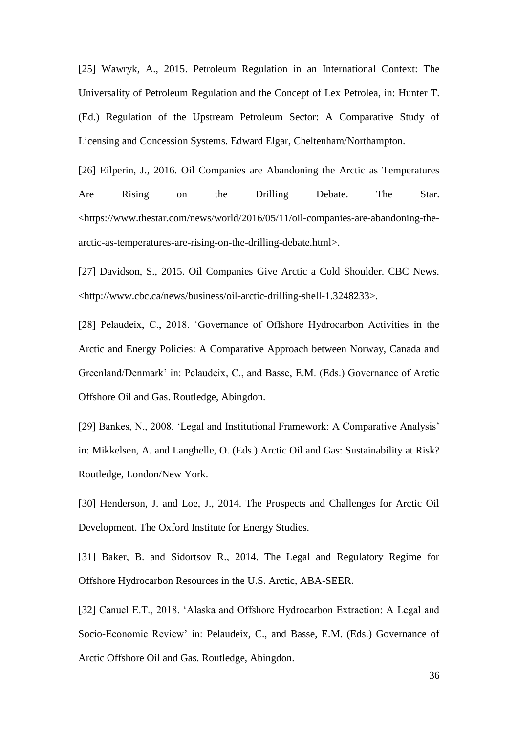[25] Wawryk, A., 2015. Petroleum Regulation in an International Context: The Universality of Petroleum Regulation and the Concept of Lex Petrolea, in: Hunter T. (Ed.) Regulation of the Upstream Petroleum Sector: A Comparative Study of Licensing and Concession Systems. Edward Elgar, Cheltenham/Northampton.

[26] Eilperin, J., 2016. Oil Companies are Abandoning the Arctic as Temperatures Are Rising on the Drilling Debate. The Star. <https://www.thestar.com/news/world/2016/05/11/oil-companies-are-abandoning-thearctic-as-temperatures-are-rising-on-the-drilling-debate.html>.

[27] Davidson, S., 2015. Oil Companies Give Arctic a Cold Shoulder. CBC News. <http://www.cbc.ca/news/business/oil-arctic-drilling-shell-1.3248233>.

[28] Pelaudeix, C., 2018. 'Governance of Offshore Hydrocarbon Activities in the Arctic and Energy Policies: A Comparative Approach between Norway, Canada and Greenland/Denmark' in: Pelaudeix, C., and Basse, E.M. (Eds.) Governance of Arctic Offshore Oil and Gas. Routledge, Abingdon.

[29] Bankes, N., 2008. 'Legal and Institutional Framework: A Comparative Analysis' in: Mikkelsen, A. and Langhelle, O. (Eds.) Arctic Oil and Gas: Sustainability at Risk? Routledge, London/New York.

[30] Henderson, J. and Loe, J., 2014. The Prospects and Challenges for Arctic Oil Development. The Oxford Institute for Energy Studies.

[31] Baker, B. and Sidortsov R., 2014. The Legal and Regulatory Regime for Offshore Hydrocarbon Resources in the U.S. Arctic, ABA-SEER.

[32] Canuel E.T., 2018. 'Alaska and Offshore Hydrocarbon Extraction: A Legal and Socio-Economic Review' in: Pelaudeix, C., and Basse, E.M. (Eds.) Governance of Arctic Offshore Oil and Gas. Routledge, Abingdon.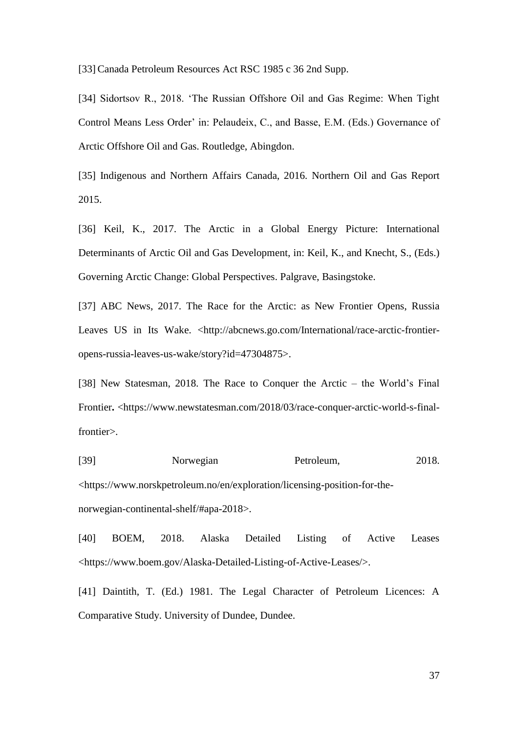[33] Canada Petroleum Resources Act RSC 1985 c 36 2nd Supp.

[34] Sidortsov R., 2018. 'The Russian Offshore Oil and Gas Regime: When Tight Control Means Less Order' in: Pelaudeix, C., and Basse, E.M. (Eds.) Governance of Arctic Offshore Oil and Gas. Routledge, Abingdon.

[35] Indigenous and Northern Affairs Canada, 2016. Northern Oil and Gas Report 2015.

[36] Keil, K., 2017. The Arctic in a Global Energy Picture: International Determinants of Arctic Oil and Gas Development, in: Keil, K., and Knecht, S., (Eds.) Governing Arctic Change: Global Perspectives. Palgrave, Basingstoke.

[37] ABC News, 2017. The Race for the Arctic: as New Frontier Opens, Russia Leaves US in Its Wake. <http://abcnews.go.com/International/race-arctic-frontieropens-russia-leaves-us-wake/story?id=47304875>.

[38] New Statesman, 2018. The Race to Conquer the Arctic – the World's Final Frontier**.** <https://www.newstatesman.com/2018/03/race-conquer-arctic-world-s-finalfrontier>.

[39] Norwegian Petroleum, 2018. <https://www.norskpetroleum.no/en/exploration/licensing-position-for-thenorwegian-continental-shelf/#apa-2018>.

[40] BOEM, 2018. Alaska Detailed Listing of Active Leases <https://www.boem.gov/Alaska-Detailed-Listing-of-Active-Leases/>.

[41] Daintith, T. (Ed.) 1981. The Legal Character of Petroleum Licences: A Comparative Study. University of Dundee, Dundee.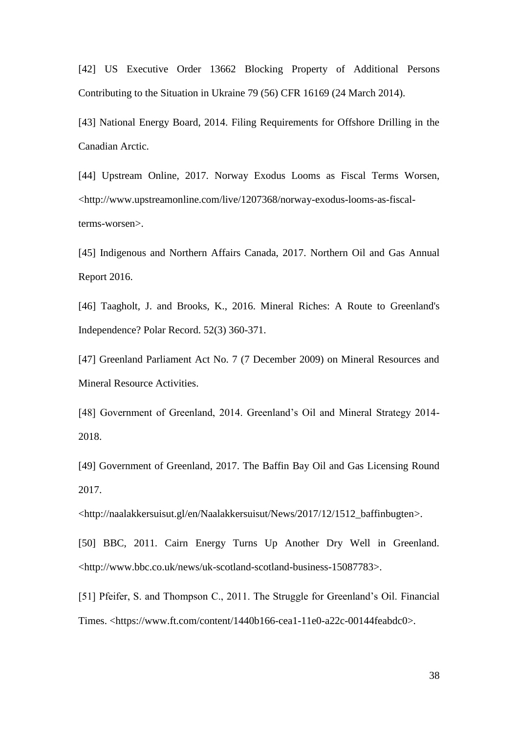[42] US Executive Order 13662 Blocking Property of Additional Persons Contributing to the Situation in Ukraine 79 (56) CFR 16169 (24 March 2014).

[43] National Energy Board, 2014. Filing Requirements for Offshore Drilling in the Canadian Arctic.

[44] Upstream Online, 2017. Norway Exodus Looms as Fiscal Terms Worsen, <http://www.upstreamonline.com/live/1207368/norway-exodus-looms-as-fiscalterms-worsen>.

[45] Indigenous and Northern Affairs Canada, 2017. Northern Oil and Gas Annual Report 2016.

[46] Taagholt, J. and Brooks, K., 2016. Mineral Riches: A Route to Greenland's Independence? Polar Record. 52(3) 360-371.

[47] Greenland Parliament Act No. 7 (7 December 2009) on Mineral Resources and Mineral Resource Activities.

[48] Government of Greenland, 2014. Greenland's Oil and Mineral Strategy 2014-2018.

[49] Government of Greenland, 2017. The Baffin Bay Oil and Gas Licensing Round 2017.

<http://naalakkersuisut.gl/en/Naalakkersuisut/News/2017/12/1512\_baffinbugten>.

[50] BBC, 2011. Cairn Energy Turns Up Another Dry Well in Greenland. <http://www.bbc.co.uk/news/uk-scotland-scotland-business-15087783>.

[51] Pfeifer, S. and Thompson C., 2011. The Struggle for Greenland's Oil. Financial Times. <https://www.ft.com/content/1440b166-cea1-11e0-a22c-00144feabdc0>.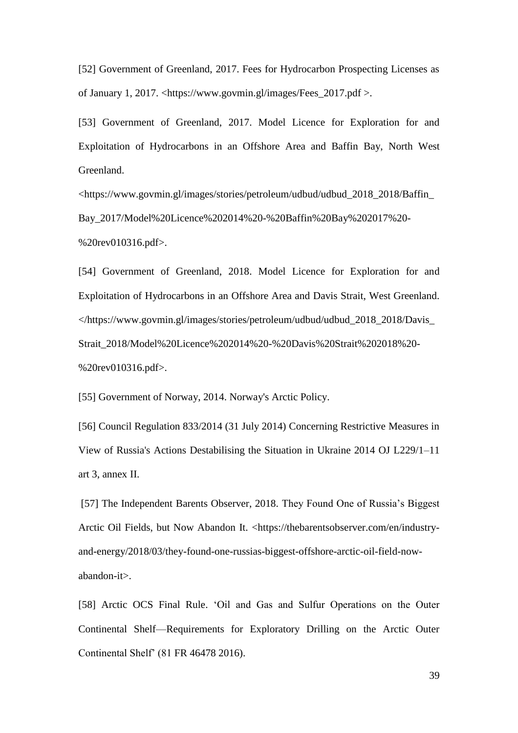[52] Government of Greenland, 2017. Fees for Hydrocarbon Prospecting Licenses as of January 1, 2017. <https://www.govmin.gl/images/Fees\_2017.pdf >.

[53] Government of Greenland, 2017. Model Licence for Exploration for and Exploitation of Hydrocarbons in an Offshore Area and Baffin Bay, North West Greenland.

<https://www.govmin.gl/images/stories/petroleum/udbud/udbud\_2018\_2018/Baffin\_ Bay\_2017/Model%20Licence%202014%20-%20Baffin%20Bay%202017%20- %20rev010316.pdf>.

[54] Government of Greenland, 2018. Model Licence for Exploration for and Exploitation of Hydrocarbons in an Offshore Area and Davis Strait, West Greenland. </https://www.govmin.gl/images/stories/petroleum/udbud/udbud\_2018\_2018/Davis\_ Strait\_2018/Model%20Licence%202014%20-%20Davis%20Strait%202018%20- %20rev010316.pdf>.

[55] Government of Norway, 2014. Norway's Arctic Policy.

[56] Council Regulation 833/2014 (31 July 2014) Concerning Restrictive Measures in View of Russia's Actions Destabilising the Situation in Ukraine 2014 OJ L229/1–11 art 3, annex II.

[57] The Independent Barents Observer, 2018. They Found One of Russia's Biggest Arctic Oil Fields, but Now Abandon It. <https://thebarentsobserver.com/en/industryand-energy/2018/03/they-found-one-russias-biggest-offshore-arctic-oil-field-nowabandon-it>.

[58] Arctic OCS Final Rule. 'Oil and Gas and Sulfur Operations on the Outer Continental Shelf—Requirements for Exploratory Drilling on the Arctic Outer Continental Shelf' (81 FR 46478 2016).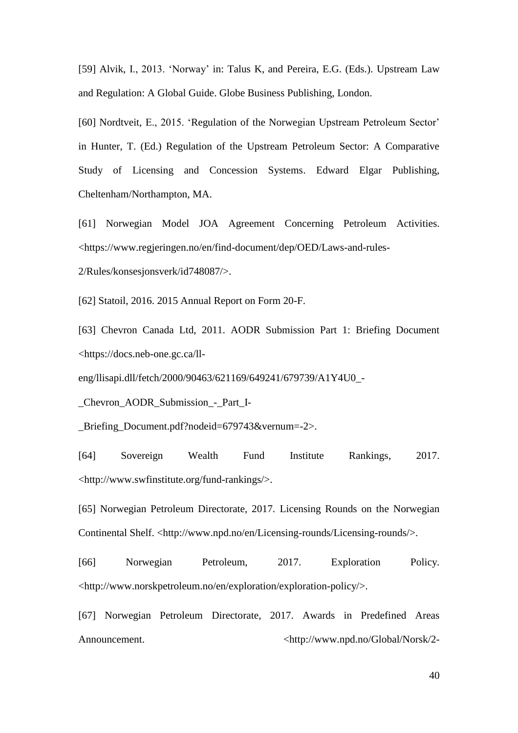[59] Alvik, I., 2013. 'Norway' in: Talus K, and Pereira, E.G. (Eds.). Upstream Law and Regulation: A Global Guide. Globe Business Publishing, London.

[60] Nordtveit, E., 2015. 'Regulation of the Norwegian Upstream Petroleum Sector' in Hunter, T. (Ed.) Regulation of the Upstream Petroleum Sector: A Comparative Study of Licensing and Concession Systems. Edward Elgar Publishing, Cheltenham/Northampton, MA.

[61] Norwegian Model JOA Agreement Concerning Petroleum Activities. <https://www.regjeringen.no/en/find-document/dep/OED/Laws-and-rules-

2/Rules/konsesjonsverk/id748087/>.

[62] Statoil, 2016. 2015 Annual Report on Form 20-F.

[63] Chevron Canada Ltd, 2011. AODR Submission Part 1: Briefing Document <https://docs.neb-one.gc.ca/ll-

eng/llisapi.dll/fetch/2000/90463/621169/649241/679739/A1Y4U0\_-

\_Chevron\_AODR\_Submission\_-\_Part\_I-

\_Briefing\_Document.pdf?nodeid=679743&vernum=-2>.

[64] Sovereign Wealth Fund Institute Rankings, 2017. <http://www.swfinstitute.org/fund-rankings/>.

[65] Norwegian Petroleum Directorate, 2017. Licensing Rounds on the Norwegian Continental Shelf. [<http://www.npd.no/en/Licensing-rounds/Licensing-rounds/>](http://www.npd.no/en/Licensing-rounds/Licensing-rounds/).

[66] Norwegian Petroleum, 2017. Exploration Policy. [<http://www.norskpetroleum.no/en/exploration/exploration-policy/>](http://www.norskpetroleum.no/en/exploration/exploration-policy/).

[67] Norwegian Petroleum Directorate, 2017. Awards in Predefined Areas Announcement.  $\langle \text{http://www.npd.no/Global/Norsk/2-} \rangle$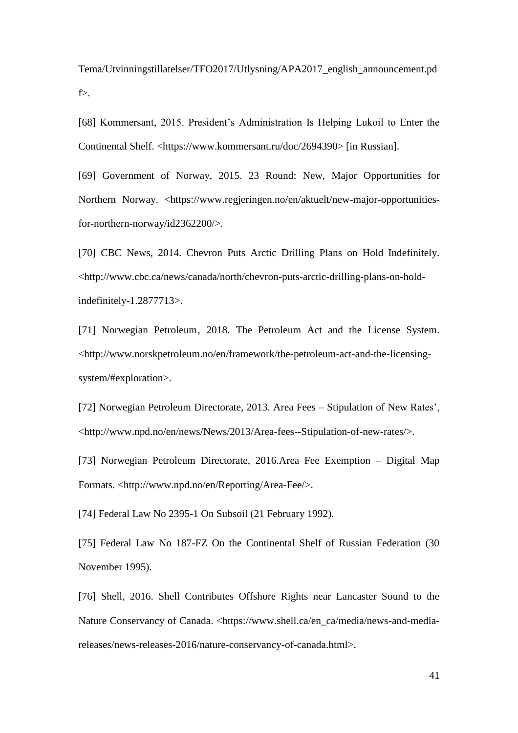Tema/Utvinningstillatelser/TFO2017/Utlysning/APA2017\_english\_announcement.pd f>.

[68] Kommersant, 2015. President's Administration Is Helping Lukoil to Enter the Continental Shelf. <https://www.kommersant.ru/doc/2694390> [in Russian].

[69] Government of Norway, 2015. 23 Round: New, Major Opportunities for Northern Norway. <https://www.regjeringen.no/en/aktuelt/new-major-opportunitiesfor-northern-norway/id2362200/>.

[70] CBC News, 2014. Chevron Puts Arctic Drilling Plans on Hold Indefinitely. <http://www.cbc.ca/news/canada/north/chevron-puts-arctic-drilling-plans-on-holdindefinitely-1.2877713>.

[71] Norwegian Petroleum, 2018. The Petroleum Act and the License System. <http://www.norskpetroleum.no/en/framework/the-petroleum-act-and-the-licensingsystem/#exploration>.

[72] Norwegian Petroleum Directorate, 2013. Area Fees – Stipulation of New Rates', <http://www.npd.no/en/news/News/2013/Area-fees--Stipulation-of-new-rates/>.

[73] Norwegian Petroleum Directorate, 2016.Area Fee Exemption – Digital Map Formats. <http://www.npd.no/en/Reporting/Area-Fee/>.

[74] Federal Law No 2395-1 On Subsoil (21 February 1992).

[75] Federal Law No 187-FZ On the Continental Shelf of Russian Federation (30 November 1995).

[76] Shell, 2016. Shell Contributes Offshore Rights near Lancaster Sound to the Nature Conservancy of Canada. <https://www.shell.ca/en\_ca/media/news-and-mediareleases/news-releases-2016/nature-conservancy-of-canada.html>.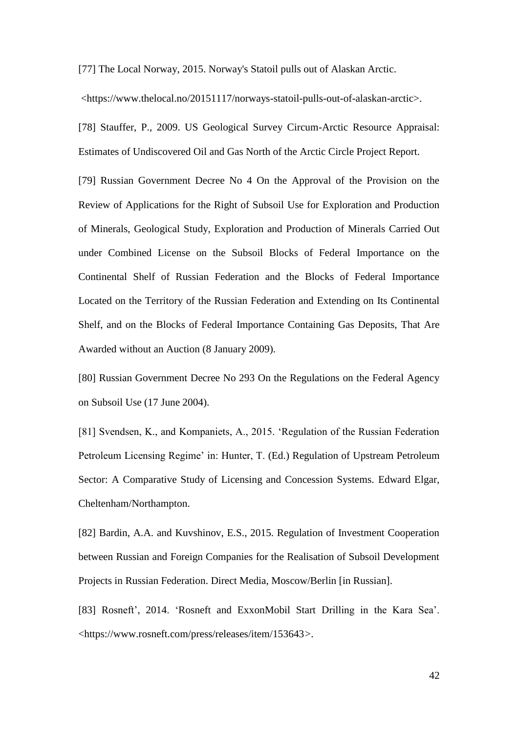[77] The Local Norway, 2015. Norway's Statoil pulls out of Alaskan Arctic.

<https://www.thelocal.no/20151117/norways-statoil-pulls-out-of-alaskan-arctic>.

[78] Stauffer, P., 2009. US Geological Survey Circum-Arctic Resource Appraisal: Estimates of Undiscovered Oil and Gas North of the Arctic Circle Project Report.

[79] Russian Government Decree No 4 On the Approval of the Provision on the Review of Applications for the Right of Subsoil Use for Exploration and Production of Minerals, Geological Study, Exploration and Production of Minerals Carried Out under Combined License on the Subsoil Blocks of Federal Importance on the Continental Shelf of Russian Federation and the Blocks of Federal Importance Located on the Territory of the Russian Federation and Extending on Its Continental Shelf, and on the Blocks of Federal Importance Containing Gas Deposits, That Are Awarded without an Auction (8 January 2009).

[80] Russian Government Decree No 293 On the Regulations on the Federal Agency on Subsoil Use (17 June 2004).

[81] Svendsen, K., and Kompaniets, A., 2015. 'Regulation of the Russian Federation Petroleum Licensing Regime' in: Hunter, T. (Ed.) Regulation of Upstream Petroleum Sector: A Comparative Study of Licensing and Concession Systems. Edward Elgar, Cheltenham/Northampton.

[82] Bardin, A.A. and Kuvshinov, E.S., 2015. Regulation of Investment Cooperation between Russian and Foreign Companies for the Realisation of Subsoil Development Projects in Russian Federation. Direct Media, Moscow/Berlin [in Russian].

[83] Rosneft', 2014. 'Rosneft and ExxonMobil Start Drilling in the Kara Sea'. <https://www.rosneft.com/press/releases/item/153643*>.*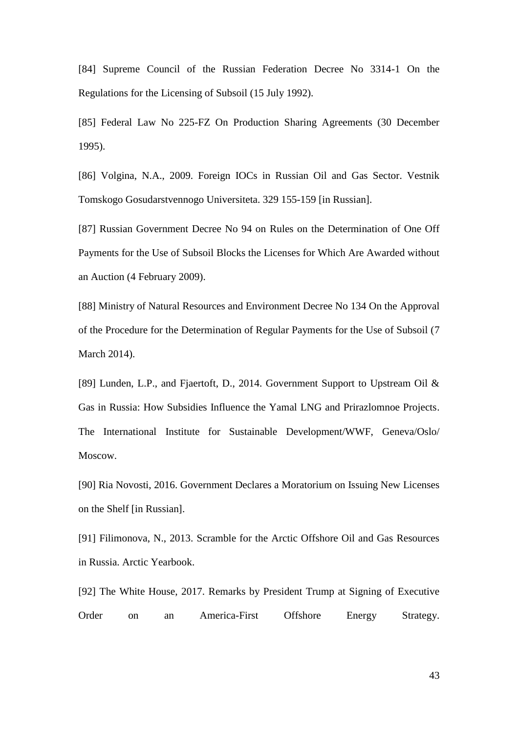[84] Supreme Council of the Russian Federation Decree No 3314-1 On the Regulations for the Licensing of Subsoil (15 July 1992).

[85] Federal Law No 225-FZ On Production Sharing Agreements (30 December 1995).

[86] Volgina, N.A., 2009. Foreign IOCs in Russian Oil and Gas Sector. Vestnik Tomskogo Gosudarstvennogo Universiteta. 329 155-159 [in Russian].

[87] Russian Government Decree No 94 on Rules on the Determination of One Off Payments for the Use of Subsoil Blocks the Licenses for Which Are Awarded without an Auction (4 February 2009).

[88] Ministry of Natural Resources and Environment Decree No 134 On the Approval of the Procedure for the Determination of Regular Payments for the Use of Subsoil (7 March 2014).

[89] Lunden, L.P., and Fjaertoft, D., 2014. Government Support to Upstream Oil & Gas in Russia: How Subsidies Influence the Yamal LNG and Prirazlomnoe Projects. The International Institute for Sustainable Development/WWF, Geneva/Oslo/ Moscow.

[90] Ria Novosti, 2016. Government Declares a Moratorium on Issuing New Licenses on the Shelf [in Russian].

[91] Filimonova, N., 2013. Scramble for the Arctic Offshore Oil and Gas Resources in Russia. Arctic Yearbook.

[92] The White House, 2017. Remarks by President Trump at Signing of Executive Order on an America-First Offshore Energy Strategy.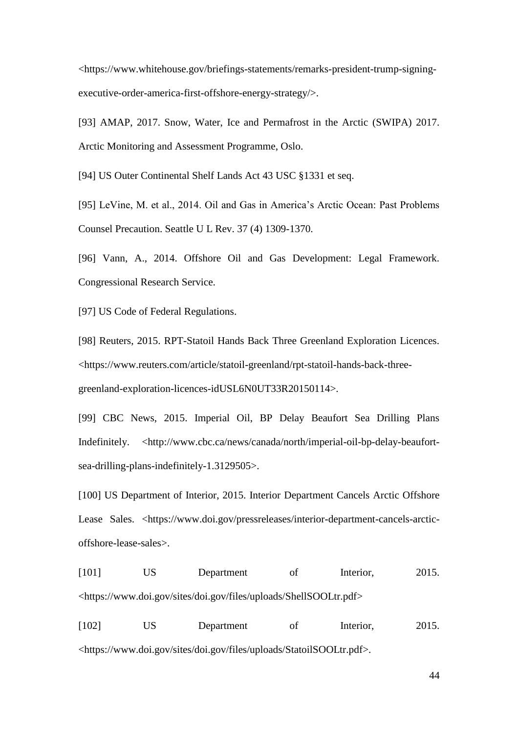<https://www.whitehouse.gov/briefings-statements/remarks-president-trump-signingexecutive-order-america-first-offshore-energy-strategy/>.

[93] AMAP, 2017. Snow, Water, Ice and Permafrost in the Arctic (SWIPA) 2017. Arctic Monitoring and Assessment Programme, Oslo.

[94] US Outer Continental Shelf Lands Act 43 USC §1331 et seq.

[95] LeVine, M. et al., 2014. Oil and Gas in America's Arctic Ocean: Past Problems Counsel Precaution. Seattle U L Rev. 37 (4) 1309-1370.

[96] Vann, A., 2014. Offshore Oil and Gas Development: Legal Framework. Congressional Research Service.

[97] US Code of Federal Regulations.

[98] Reuters, 2015. RPT-Statoil Hands Back Three Greenland Exploration Licences. <https://www.reuters.com/article/statoil-greenland/rpt-statoil-hands-back-threegreenland-exploration-licences-idUSL6N0UT33R20150114>.

[99] CBC News, 2015. Imperial Oil, BP Delay Beaufort Sea Drilling Plans Indefinitely. [<http://www.cbc.ca/news/canada/north/imperial-oil-bp-delay-beaufort](http://www.cbc.ca/news/canada/north/imperial-oil-bp-delay-beaufort-sea-drilling-plans-indefinitely-1.3129505)[sea-drilling-plans-indefinitely-1.3129505>](http://www.cbc.ca/news/canada/north/imperial-oil-bp-delay-beaufort-sea-drilling-plans-indefinitely-1.3129505).

[100] US Department of Interior, 2015. Interior Department Cancels Arctic Offshore Lease Sales. <https://www.doi.gov/pressreleases/interior-department-cancels-arcticoffshore-lease-sales>.

[101] US Department of Interior, 2015. <https://www.doi.gov/sites/doi.gov/files/uploads/ShellSOOLtr.pdf>

[102] US Department of Interior, 2015. <https://www.doi.gov/sites/doi.gov/files/uploads/StatoilSOOLtr.pdf>.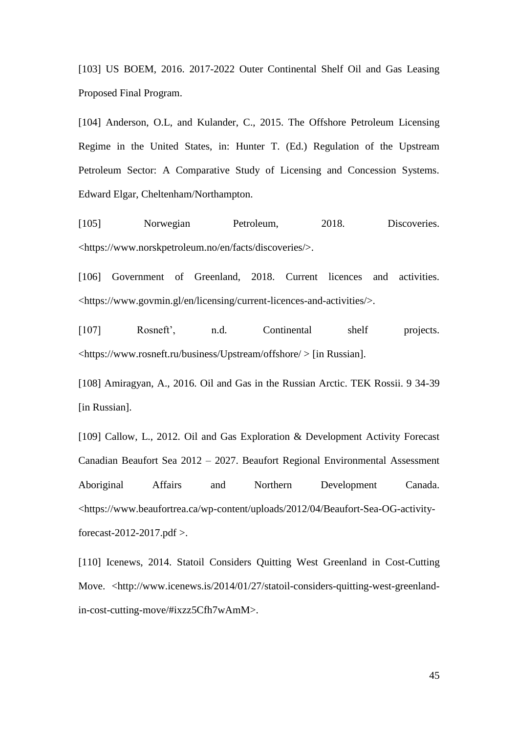[103] US BOEM, 2016. 2017-2022 Outer Continental Shelf Oil and Gas Leasing Proposed Final Program.

[104] Anderson, O.L, and Kulander, C., 2015. The Offshore Petroleum Licensing Regime in the United States, in: Hunter T. (Ed.) Regulation of the Upstream Petroleum Sector: A Comparative Study of Licensing and Concession Systems. Edward Elgar, Cheltenham/Northampton.

[105] Norwegian Petroleum, 2018. Discoveries. <https://www.norskpetroleum.no/en/facts/discoveries/>.

[106] Government of Greenland, 2018. Current licences and activities. <https://www.govmin.gl/en/licensing/current-licences-and-activities/>.

[107] Rosneft', n.d. Continental shelf projects. <https://www.rosneft.ru/business/Upstream/offshore/ > [in Russian].

[108] Amiragyan, A., 2016. Oil and Gas in the Russian Arctic. TEK Rossii. 9 34-39 [in Russian].

[109] Callow, L., 2012. Oil and Gas Exploration & Development Activity Forecast Canadian Beaufort Sea 2012 – 2027. Beaufort Regional Environmental Assessment Aboriginal Affairs and Northern Development Canada. <https://www.beaufortrea.ca/wp-content/uploads/2012/04/Beaufort-Sea-OG-activityforecast-2012-2017.pdf >.

[110] Icenews, 2014. Statoil Considers Quitting West Greenland in Cost-Cutting Move. <http://www.icenews.is/2014/01/27/statoil-considers-quitting-west-greenlandin-cost-cutting-move/#ixzz5Cfh7wAmM>.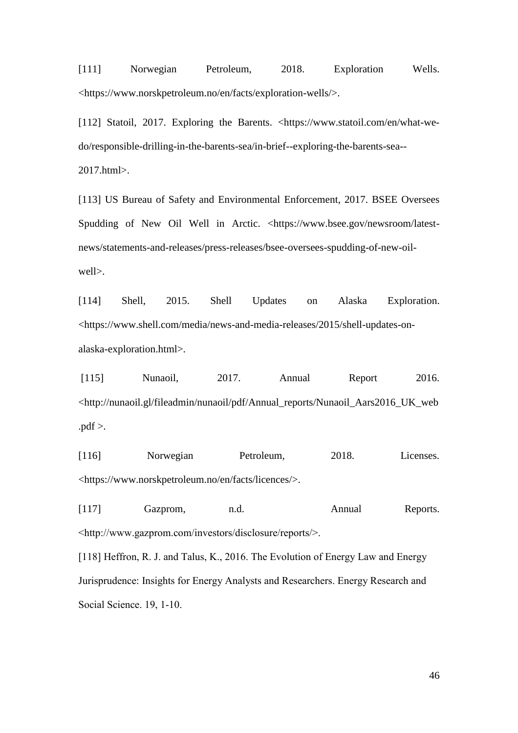[111] Norwegian Petroleum, 2018. Exploration Wells. <https://www.norskpetroleum.no/en/facts/exploration-wells/>.

[112] Statoil, 2017. Exploring the Barents. <https://www.statoil.com/en/what-wedo/responsible-drilling-in-the-barents-sea/in-brief--exploring-the-barents-sea-- 2017.html>.

[113] US Bureau of Safety and Environmental Enforcement, 2017. BSEE Oversees Spudding of New Oil Well in Arctic. <https://www.bsee.gov/newsroom/latestnews/statements-and-releases/press-releases/bsee-oversees-spudding-of-new-oilwell>.

[114] Shell, 2015. Shell Updates on Alaska Exploration. <https://www.shell.com/media/news-and-media-releases/2015/shell-updates-onalaska-exploration.html>.

[115] Nunaoil, 2017. Annual Report 2016. <http://nunaoil.gl/fileadmin/nunaoil/pdf/Annual\_reports/Nunaoil\_Aars2016\_UK\_web  $.pdf$ .

[116] Norwegian Petroleum, 2018. Licenses. <https://www.norskpetroleum.no/en/facts/licences/>.

[117] Gazprom, n.d. Annual Reports. <http://www.gazprom.com/investors/disclosure/reports/>.

[118] Heffron, R. J. and Talus, K., 2016. The Evolution of Energy Law and Energy Jurisprudence: Insights for Energy Analysts and Researchers. Energy Research and Social Science. 19, 1-10.